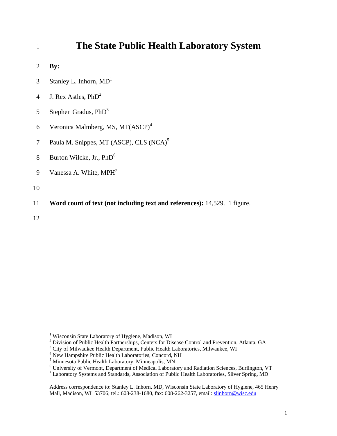# <sup>1</sup>**The State Public Health Laboratory System**

- 2 **By:**
- 3 Stanley L. Inhorn,  $MD<sup>1</sup>$
- 4 J. Rex Astles,  $PhD<sup>2</sup>$
- 5 Stephen Gradus,  $PhD<sup>3</sup>$
- 6 Veronica Malmberg, MS,  $MT(ASCP)^4$
- 7 Paula M. Snippes, MT (ASCP), CLS  $(NCA)^5$
- 8 Burton Wilcke, Jr., PhD<sup>6</sup>
- 9 Vanessa A. White,  $MPH<sup>7</sup>$
- 10
- 11 **Word count of text (not including text and references):** 14,529. 1 figure.
- 12

1

 $3^3$  City of Milwaukee Health Department, Public Health Laboratories, Milwaukee, WI<br> $4^4$  Naw Hempshire Public Health Laboratories, Concord, NH

<sup>&</sup>lt;sup>1</sup> Wisconsin State Laboratory of Hygiene, Madison, WI

<sup>&</sup>lt;sup>2</sup> Division of Public Health Partnerships, Centers for Disease Control and Prevention, Atlanta, GA

<sup>&</sup>lt;sup>4</sup> New Hampshire Public Health Laboratories, Concord, NH

<sup>5</sup> Minnesota Public Health Laboratory, Minneapolis, MN

<sup>&</sup>lt;sup>6</sup> University of Vermont, Department of Medical Laboratory and Radiation Sciences, Burlington, VT

<sup>&</sup>lt;sup>7</sup> Laboratory Systems and Standards, Association of Public Health Laboratories, Silver Spring, MD

Address correspondence to: Stanley L. Inhorn, MD, Wisconsin State Laboratory of Hygiene, 465 Henry Mall, Madison, WI 53706; tel.: 608-238-1680, fax: 608-262-3257, email: slinhorn@wisc.edu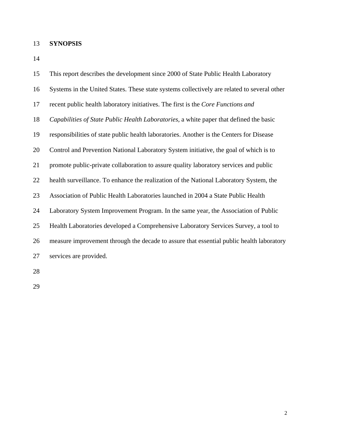## 13 **SYNOPSIS**

14

| 15 | This report describes the development since 2000 of State Public Health Laboratory            |
|----|-----------------------------------------------------------------------------------------------|
| 16 | Systems in the United States. These state systems collectively are related to several other   |
| 17 | recent public health laboratory initiatives. The first is the Core Functions and              |
| 18 | <i>Capabilities of State Public Health Laboratories, a white paper that defined the basic</i> |
| 19 | responsibilities of state public health laboratories. Another is the Centers for Disease      |
| 20 | Control and Prevention National Laboratory System initiative, the goal of which is to         |
| 21 | promote public-private collaboration to assure quality laboratory services and public         |
| 22 | health surveillance. To enhance the realization of the National Laboratory System, the        |
| 23 | Association of Public Health Laboratories launched in 2004 a State Public Health              |
| 24 | Laboratory System Improvement Program. In the same year, the Association of Public            |
| 25 | Health Laboratories developed a Comprehensive Laboratory Services Survey, a tool to           |
| 26 | measure improvement through the decade to assure that essential public health laboratory      |
| 27 | services are provided.                                                                        |

28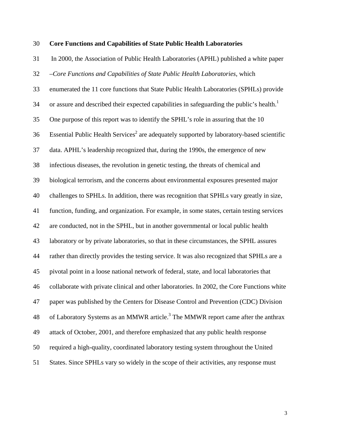### 30 **Core Functions and Capabilities of State Public Health Laboratories**

31 In 2000, the Association of Public Health Laboratories (APHL) published a white paper 32 –*Core Functions and Capabilities of State Public Health Laboratories*, which 33 enumerated the 11 core functions that State Public Health Laboratories (SPHLs) provide  $34$  or assure and described their expected capabilities in safeguarding the public's health.<sup>1</sup> 35 One purpose of this report was to identify the SPHL's role in assuring that the 10  $36$  Essential Public Health Services<sup>2</sup> are adequately supported by laboratory-based scientific 37 data. APHL's leadership recognized that, during the 1990s, the emergence of new 38 infectious diseases, the revolution in genetic testing, the threats of chemical and 39 biological terrorism, and the concerns about environmental exposures presented major 40 challenges to SPHLs. In addition, there was recognition that SPHLs vary greatly in size, 41 function, funding, and organization. For example, in some states, certain testing services 42 are conducted, not in the SPHL, but in another governmental or local public health 43 laboratory or by private laboratories, so that in these circumstances, the SPHL assures 44 rather than directly provides the testing service. It was also recognized that SPHLs are a 45 pivotal point in a loose national network of federal, state, and local laboratories that 46 collaborate with private clinical and other laboratories. In 2002, the Core Functions white 47 paper was published by the Centers for Disease Control and Prevention (CDC) Division 48 of Laboratory Systems as an MMWR article.<sup>3</sup> The MMWR report came after the anthrax 49 attack of October, 2001, and therefore emphasized that any public health response 50 required a high-quality, coordinated laboratory testing system throughout the United 51 States. Since SPHLs vary so widely in the scope of their activities, any response must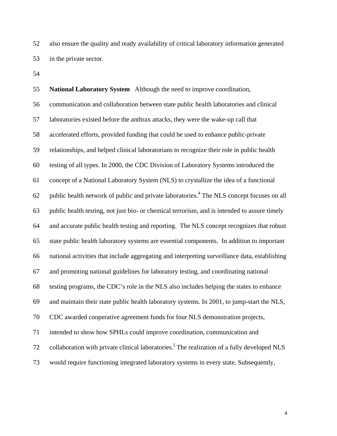52 also ensure the quality and ready availability of critical laboratory information generated 53 in the private sector.

54

55 **National Laboratory System** Although the need to improve coordination, 56 communication and collaboration between state public health laboratories and clinical 57 laboratories existed before the anthrax attacks, they were the wake-up call that 58 accelerated efforts, provided funding that could be used to enhance public-private 59 relationships, and helped clinical laboratorians to recognize their role in public health 60 testing of all types. In 2000, the CDC Division of Laboratory Systems introduced the 61 concept of a National Laboratory System (NLS) to crystallize the idea of a functional 62 public health network of public and private laboratories.<sup>4</sup> The NLS concept focuses on all 63 public health testing, not just bio- or chemical terrorism, and is intended to assure timely 64 and accurate public health testing and reporting. The NLS concept recognizes that robust 65 state public health laboratory systems are essential components. In addition to important 66 national activities that include aggregating and interpreting surveillance data, establishing 67 and promoting national guidelines for laboratory testing, and coordinating national 68 testing programs, the CDC's role in the NLS also includes helping the states to enhance 69 and maintain their state public health laboratory systems. In 2001, to jump-start the NLS, 70 CDC awarded cooperative agreement funds for four NLS demonstration projects, 71 intended to show how SPHLs could improve coordination, communication and 72 collaboration with private clinical laboratories.<sup>5</sup> The realization of a fully developed NLS 73 would require functioning integrated laboratory systems in every state. Subsequently,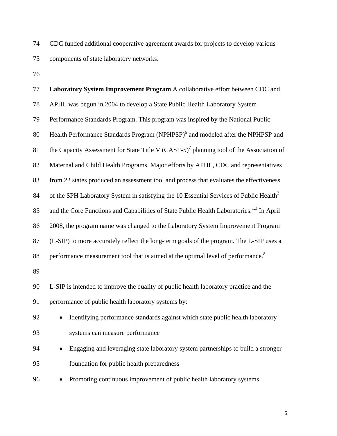74 CDC funded additional cooperative agreement awards for projects to develop various 75 components of state laboratory networks.

76

| 77 | Laboratory System Improvement Program A collaborative effort between CDC and                         |
|----|------------------------------------------------------------------------------------------------------|
| 78 | APHL was begun in 2004 to develop a State Public Health Laboratory System                            |
| 79 | Performance Standards Program. This program was inspired by the National Public                      |
| 80 | Health Performance Standards Program (NPHPSP) <sup>6</sup> and modeled after the NPHPSP and          |
| 81 | the Capacity Assessment for State Title V $(CAST-5)^7$ planning tool of the Association of           |
| 82 | Maternal and Child Health Programs. Major efforts by APHL, CDC and representatives                   |
| 83 | from 22 states produced an assessment tool and process that evaluates the effectiveness              |
| 84 | of the SPH Laboratory System in satisfying the 10 Essential Services of Public Health <sup>2</sup>   |
| 85 | and the Core Functions and Capabilities of State Public Health Laboratories. <sup>1,3</sup> In April |
| 86 | 2008, the program name was changed to the Laboratory System Improvement Program                      |
| 87 | (L-SIP) to more accurately reflect the long-term goals of the program. The L-SIP uses a              |
| 88 | performance measurement tool that is aimed at the optimal level of performance. <sup>8</sup>         |
| 89 |                                                                                                      |
| 90 | L-SIP is intended to improve the quality of public health laboratory practice and the                |
| 91 | performance of public health laboratory systems by:                                                  |
| 92 | Identifying performance standards against which state public health laboratory                       |
| 93 | systems can measure performance                                                                      |
| 94 | Engaging and leveraging state laboratory system partnerships to build a stronger                     |
| 95 | foundation for public health preparedness                                                            |
| 96 | Promoting continuous improvement of public health laboratory systems                                 |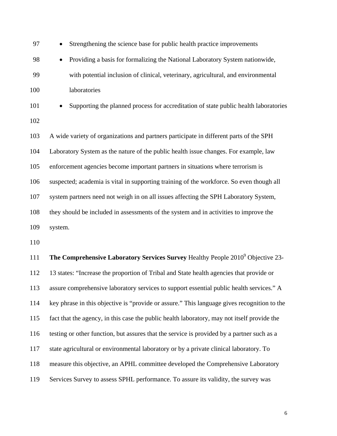| 97  | Strengthening the science base for public health practice improvements                      |
|-----|---------------------------------------------------------------------------------------------|
| 98  | Providing a basis for formalizing the National Laboratory System nationwide,                |
| 99  | with potential inclusion of clinical, veterinary, agricultural, and environmental           |
| 100 | laboratories                                                                                |
| 101 | Supporting the planned process for accreditation of state public health laboratories        |
| 102 |                                                                                             |
| 103 | A wide variety of organizations and partners participate in different parts of the SPH      |
| 104 | Laboratory System as the nature of the public health issue changes. For example, law        |
| 105 | enforcement agencies become important partners in situations where terrorism is             |
| 106 | suspected; academia is vital in supporting training of the workforce. So even though all    |
| 107 | system partners need not weigh in on all issues affecting the SPH Laboratory System,        |
| 108 | they should be included in assessments of the system and in activities to improve the       |
| 109 | system.                                                                                     |
| 110 |                                                                                             |
| 111 | The Comprehensive Laboratory Services Survey Healthy People 2010 <sup>9</sup> Objective 23- |
| 112 | 13 states: "Increase the proportion of Tribal and State health agencies that provide or     |
| 113 | assure comprehensive laboratory services to support essential public health services." A    |
| 114 | key phrase in this objective is "provide or assure." This language gives recognition to the |
| 115 | fact that the agency, in this case the public health laboratory, may not itself provide the |
| 116 | testing or other function, but assures that the service is provided by a partner such as a  |
| 117 | state agricultural or environmental laboratory or by a private clinical laboratory. To      |
| 118 | measure this objective, an APHL committee developed the Comprehensive Laboratory            |
| 119 | Services Survey to assess SPHL performance. To assure its validity, the survey was          |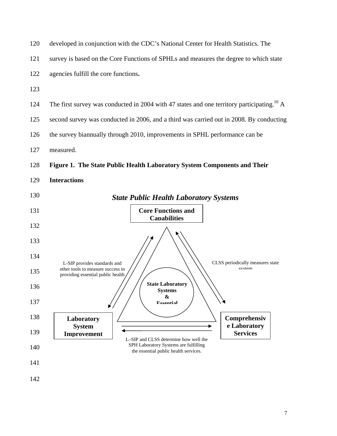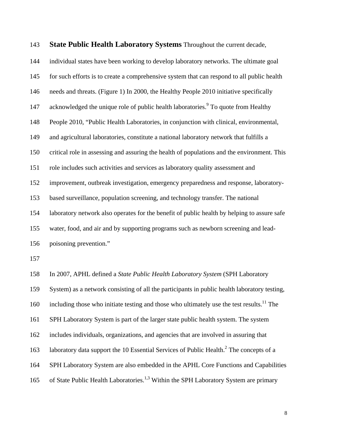|     | Diait I abht IItahn Laborator y Dysithis Throughout the carrent accade,                               |
|-----|-------------------------------------------------------------------------------------------------------|
| 144 | individual states have been working to develop laboratory networks. The ultimate goal                 |
| 145 | for such efforts is to create a comprehensive system that can respond to all public health            |
| 146 | needs and threats. (Figure 1) In 2000, the Healthy People 2010 initiative specifically                |
| 147 | acknowledged the unique role of public health laboratories. <sup>9</sup> To quote from Healthy        |
| 148 | People 2010, "Public Health Laboratories, in conjunction with clinical, environmental,                |
| 149 | and agricultural laboratories, constitute a national laboratory network that fulfills a               |
| 150 | critical role in assessing and assuring the health of populations and the environment. This           |
| 151 | role includes such activities and services as laboratory quality assessment and                       |
| 152 | improvement, outbreak investigation, emergency preparedness and response, laboratory-                 |
| 153 | based surveillance, population screening, and technology transfer. The national                       |
| 154 | laboratory network also operates for the benefit of public health by helping to assure safe           |
| 155 | water, food, and air and by supporting programs such as newborn screening and lead-                   |
| 156 | poisoning prevention."                                                                                |
| 157 |                                                                                                       |
| 158 | In 2007, APHL defined a State Public Health Laboratory System (SPH Laboratory                         |
| 159 | System) as a network consisting of all the participants in public health laboratory testing,          |
| 160 | including those who initiate testing and those who ultimately use the test results. <sup>11</sup> The |
| 161 | SPH Laboratory System is part of the larger state public health system. The system                    |
| 162 | includes individuals, organizations, and agencies that are involved in assuring that                  |
| 163 | laboratory data support the 10 Essential Services of Public Health. <sup>2</sup> The concepts of a    |
| 164 | SPH Laboratory System are also embedded in the APHL Core Functions and Capabilities                   |

143 **State Public Health Laboratory Systems** Throughout the current decade,

165 of State Public Health Laboratories.<sup>1,3</sup> Within the SPH Laboratory System are primary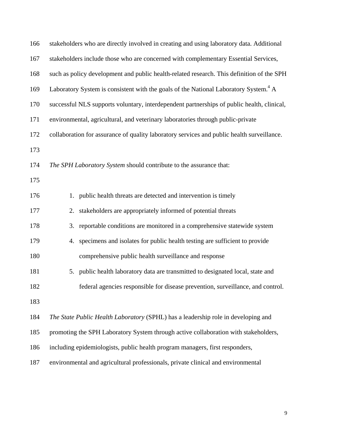| 166 | stakeholders who are directly involved in creating and using laboratory data. Additional         |
|-----|--------------------------------------------------------------------------------------------------|
| 167 | stakeholders include those who are concerned with complementary Essential Services,              |
| 168 | such as policy development and public health-related research. This definition of the SPH        |
| 169 | Laboratory System is consistent with the goals of the National Laboratory System. <sup>4</sup> A |
| 170 | successful NLS supports voluntary, interdependent partnerships of public health, clinical,       |
| 171 | environmental, agricultural, and veterinary laboratories through public-private                  |
| 172 | collaboration for assurance of quality laboratory services and public health surveillance.       |
| 173 |                                                                                                  |
| 174 | The SPH Laboratory System should contribute to the assurance that:                               |
| 175 |                                                                                                  |
| 176 | 1. public health threats are detected and intervention is timely                                 |
| 177 | stakeholders are appropriately informed of potential threats<br>2.                               |
| 178 | 3. reportable conditions are monitored in a comprehensive statewide system                       |
| 179 | specimens and isolates for public health testing are sufficient to provide<br>4.                 |
| 180 | comprehensive public health surveillance and response                                            |
| 181 | 5. public health laboratory data are transmitted to designated local, state and                  |
| 182 | federal agencies responsible for disease prevention, surveillance, and control.                  |
| 183 |                                                                                                  |
| 184 | The State Public Health Laboratory (SPHL) has a leadership role in developing and                |
| 185 | promoting the SPH Laboratory System through active collaboration with stakeholders,              |
| 186 | including epidemiologists, public health program managers, first responders,                     |
| 187 | environmental and agricultural professionals, private clinical and environmental                 |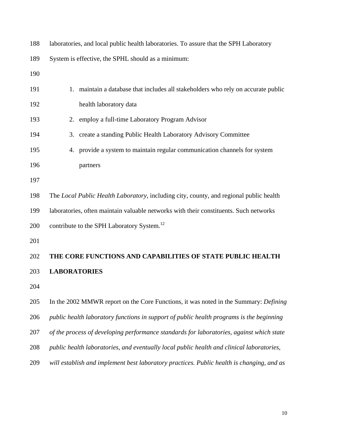| 188 | laboratories, and local public health laboratories. To assure that the SPH Laboratory     |
|-----|-------------------------------------------------------------------------------------------|
| 189 | System is effective, the SPHL should as a minimum:                                        |
| 190 |                                                                                           |
| 191 | 1. maintain a database that includes all stakeholders who rely on accurate public         |
| 192 | health laboratory data                                                                    |
| 193 | employ a full-time Laboratory Program Advisor<br>2.                                       |
| 194 | create a standing Public Health Laboratory Advisory Committee<br>3.                       |
| 195 | 4. provide a system to maintain regular communication channels for system                 |
| 196 | partners                                                                                  |
| 197 |                                                                                           |
| 198 | The Local Public Health Laboratory, including city, county, and regional public health    |
| 199 | laboratories, often maintain valuable networks with their constituents. Such networks     |
| 200 | contribute to the SPH Laboratory System. <sup>12</sup>                                    |
| 201 |                                                                                           |
| 202 | THE CORE FUNCTIONS AND CAPABILITIES OF STATE PUBLIC HEALTH                                |
| 203 | <b>LABORATORIES</b>                                                                       |
| 204 |                                                                                           |
| 205 | In the 2002 MMWR report on the Core Functions, it was noted in the Summary: Defining      |
| 206 | public health laboratory functions in support of public health programs is the beginning  |
| 207 | of the process of developing performance standards for laboratories, against which state  |
| 208 | public health laboratories, and eventually local public health and clinical laboratories, |
| 209 | will establish and implement best laboratory practices. Public health is changing, and as |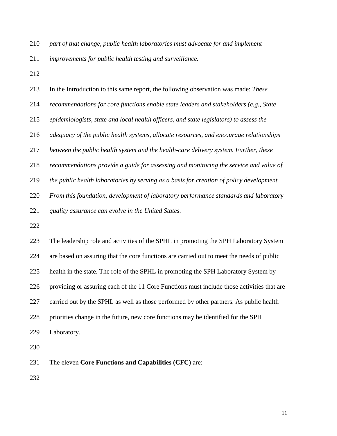*part of that change, public health laboratories must advocate for and implement* 

*improvements for public health testing and surveillance.* 

213 In the Introduction to this same report, the following observation was made: *These recommendations for core functions enable state leaders and stakeholders (e.g., State epidemiologists, state and local health officers, and state legislators) to assess the adequacy of the public health systems, allocate resources, and encourage relationships between the public health system and the health-care delivery system. Further, these recommendations provide a guide for assessing and monitoring the service and value of the public health laboratories by serving as a basis for creation of policy development. From this foundation, development of laboratory performance standards and laboratory quality assurance can evolve in the United States.*  

223 The leadership role and activities of the SPHL in promoting the SPH Laboratory System 224 are based on assuring that the core functions are carried out to meet the needs of public 225 health in the state. The role of the SPHL in promoting the SPH Laboratory System by 226 providing or assuring each of the 11 Core Functions must include those activities that are 227 carried out by the SPHL as well as those performed by other partners. As public health 228 priorities change in the future, new core functions may be identified for the SPH 229 Laboratory.

231 The eleven **Core Functions and Capabilities (CFC)** are: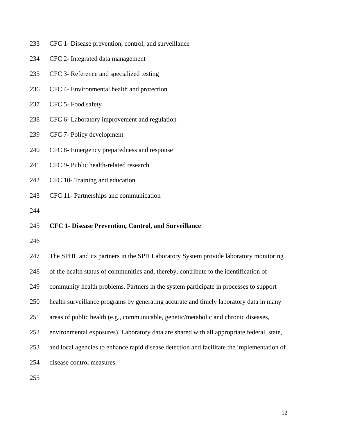- 233 CFC 1- Disease prevention, control, and surveillance
- 234 CFC 2- Integrated data management
- 235 CFC 3- Reference and specialized testing
- 236 CFC 4- Environmental health and protection
- 237 CFC 5- Food safety
- 238 CFC 6- Laboratory improvement and regulation
- 239 CFC 7- Policy development
- 240 CFC 8- Emergency preparedness and response
- 241 CFC 9- Public health-related research
- 242 CFC 10- Training and education
- 243 CFC 11- Partnerships and communication
- 244

#### 245 **CFC 1- Disease Prevention, Control, and Surveillance**

246

247 The SPHL and its partners in the SPH Laboratory System provide laboratory monitoring

- 248 of the health status of communities and, thereby, contribute to the identification of
- 249 community health problems. Partners in the system participate in processes to support
- 250 health surveillance programs by generating accurate and timely laboratory data in many
- 251 areas of public health (e.g., communicable, genetic/metabolic and chronic diseases,
- 252 environmental exposures). Laboratory data are shared with all appropriate federal, state,
- 253 and local agencies to enhance rapid disease detection and facilitate the implementation of
- 254 disease control measures.
- 255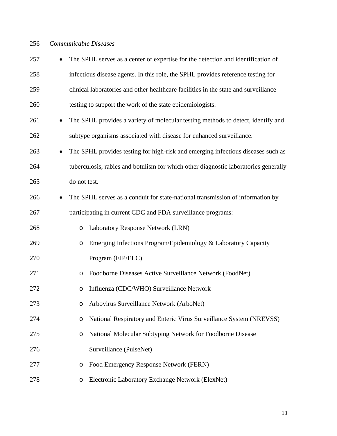# *Communicable Diseases*

| 257 | $\bullet$ | The SPHL serves as a center of expertise for the detection and identification of    |
|-----|-----------|-------------------------------------------------------------------------------------|
| 258 |           | infectious disease agents. In this role, the SPHL provides reference testing for    |
| 259 |           | clinical laboratories and other healthcare facilities in the state and surveillance |
| 260 |           | testing to support the work of the state epidemiologists.                           |
| 261 | $\bullet$ | The SPHL provides a variety of molecular testing methods to detect, identify and    |
| 262 |           | subtype organisms associated with disease for enhanced surveillance.                |
| 263 |           | The SPHL provides testing for high-risk and emerging infectious diseases such as    |
| 264 |           | tuberculosis, rabies and botulism for which other diagnostic laboratories generally |
| 265 |           | do not test.                                                                        |
| 266 |           | The SPHL serves as a conduit for state-national transmission of information by      |
| 267 |           | participating in current CDC and FDA surveillance programs:                         |
| 268 |           | Laboratory Response Network (LRN)<br>O                                              |
| 269 |           | Emerging Infections Program/Epidemiology & Laboratory Capacity<br>$\circ$           |
| 270 |           | Program (EIP/ELC)                                                                   |
| 271 |           | Foodborne Diseases Active Surveillance Network (FoodNet)<br>O                       |
| 272 |           | Influenza (CDC/WHO) Surveillance Network<br>$\circ$                                 |
| 273 |           | Arbovirus Surveillance Network (ArboNet)                                            |
| 274 |           | National Respiratory and Enteric Virus Surveillance System (NREVSS)<br>$\circ$      |
| 275 |           | National Molecular Subtyping Network for Foodborne Disease<br>$\circ$               |
| 276 |           | Surveillance (PulseNet)                                                             |
| 277 |           | Food Emergency Response Network (FERN)<br>O                                         |
| 278 |           | Electronic Laboratory Exchange Network (ElexNet)<br>$\circ$                         |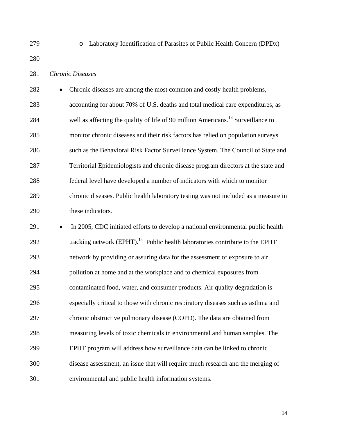279 o Laboratory Identification of Parasites of Public Health Concern (DPDx)

280

## 281 *Chronic Diseases*

| 282 | Chronic diseases are among the most common and costly health problems,                       |
|-----|----------------------------------------------------------------------------------------------|
| 283 | accounting for about 70% of U.S. deaths and total medical care expenditures, as              |
| 284 | well as affecting the quality of life of 90 million Americans. <sup>13</sup> Surveillance to |
| 285 | monitor chronic diseases and their risk factors has relied on population surveys             |
| 286 | such as the Behavioral Risk Factor Surveillance System. The Council of State and             |
| 287 | Territorial Epidemiologists and chronic disease program directors at the state and           |
| 288 | federal level have developed a number of indicators with which to monitor                    |
| 289 | chronic diseases. Public health laboratory testing was not included as a measure in          |
| 290 | these indicators.                                                                            |

291 • In 2005, CDC initiated efforts to develop a national environmental public health 292 tracking network  $(EPHT)$ .<sup>14</sup> Public health laboratories contribute to the EPHT 293 network by providing or assuring data for the assessment of exposure to air 294 pollution at home and at the workplace and to chemical exposures from 295 contaminated food, water, and consumer products. Air quality degradation is 296 especially critical to those with chronic respiratory diseases such as asthma and 297 chronic obstructive pulmonary disease (COPD). The data are obtained from 298 measuring levels of toxic chemicals in environmental and human samples. The 299 EPHT program will address how surveillance data can be linked to chronic 300 disease assessment, an issue that will require much research and the merging of 301 environmental and public health information systems.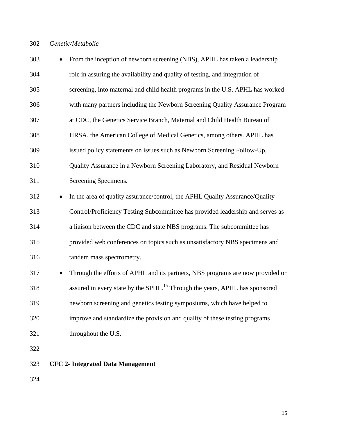302 *Genetic/Metabolic* 

| 303 |           | From the inception of newborn screening (NBS), APHL has taken a leadership              |
|-----|-----------|-----------------------------------------------------------------------------------------|
| 304 |           | role in assuring the availability and quality of testing, and integration of            |
| 305 |           | screening, into maternal and child health programs in the U.S. APHL has worked          |
| 306 |           | with many partners including the Newborn Screening Quality Assurance Program            |
| 307 |           | at CDC, the Genetics Service Branch, Maternal and Child Health Bureau of                |
| 308 |           | HRSA, the American College of Medical Genetics, among others. APHL has                  |
| 309 |           | issued policy statements on issues such as Newborn Screening Follow-Up,                 |
| 310 |           | Quality Assurance in a Newborn Screening Laboratory, and Residual Newborn               |
| 311 |           | Screening Specimens.                                                                    |
| 312 | $\bullet$ | In the area of quality assurance/control, the APHL Quality Assurance/Quality            |
| 313 |           | Control/Proficiency Testing Subcommittee has provided leadership and serves as          |
| 314 |           | a liaison between the CDC and state NBS programs. The subcommittee has                  |
| 315 |           | provided web conferences on topics such as unsatisfactory NBS specimens and             |
| 316 |           | tandem mass spectrometry.                                                               |
| 317 | $\bullet$ | Through the efforts of APHL and its partners, NBS programs are now provided or          |
| 318 |           | assured in every state by the SPHL. <sup>15</sup> Through the years, APHL has sponsored |
| 319 |           | newborn screening and genetics testing symposiums, which have helped to                 |
| 320 |           | improve and standardize the provision and quality of these testing programs             |
| 321 |           | throughout the U.S.                                                                     |
| 322 |           |                                                                                         |
| 323 |           | <b>CFC 2- Integrated Data Management</b>                                                |
| 324 |           |                                                                                         |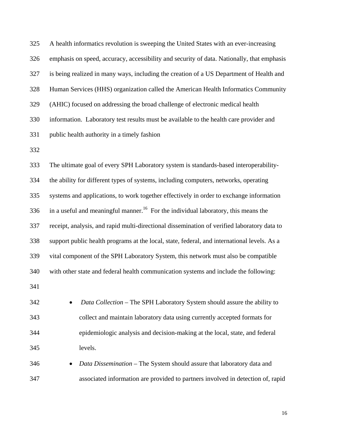325 A health informatics revolution is sweeping the United States with an ever-increasing 326 emphasis on speed, accuracy, accessibility and security of data. Nationally, that emphasis 327 is being realized in many ways, including the creation of a US Department of Health and 328 Human Services (HHS) organization called the American Health Informatics Community 329 (AHIC) focused on addressing the broad challenge of electronic medical health 330 information. Laboratory test results must be available to the health care provider and 331 public health authority in a timely fashion 332

333 The ultimate goal of every SPH Laboratory system is standards-based interoperability-334 the ability for different types of systems, including computers, networks, operating 335 systems and applications, to work together effectively in order to exchange information 336 in a useful and meaningful manner.<sup>16</sup> For the individual laboratory, this means the 337 receipt, analysis, and rapid multi-directional dissemination of verified laboratory data to 338 support public health programs at the local, state, federal, and international levels. As a 339 vital component of the SPH Laboratory System, this network must also be compatible 340 with other state and federal health communication systems and include the following: 341

342 **•** *Data Collection* – The SPH Laboratory System should assure the ability to 343 collect and maintain laboratory data using currently accepted formats for 344 epidemiologic analysis and decision-making at the local, state, and federal 345 levels.

346 **•** *Data Dissemination* – The System should assure that laboratory data and 347 associated information are provided to partners involved in detection of, rapid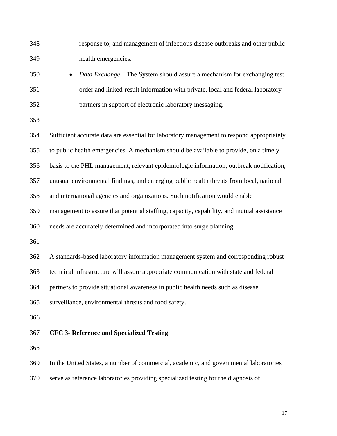| 348 | response to, and management of infectious disease outbreaks and other public |
|-----|------------------------------------------------------------------------------|
| 349 | health emergencies.                                                          |

350 *Data Exchange* – The System should assure a mechanism for exchanging test 351 order and linked-result information with private, local and federal laboratory 352 partners in support of electronic laboratory messaging.

353

354 Sufficient accurate data are essential for laboratory management to respond appropriately

355 to public health emergencies. A mechanism should be available to provide, on a timely

356 basis to the PHL management, relevant epidemiologic information, outbreak notification,

357 unusual environmental findings, and emerging public health threats from local, national

358 and international agencies and organizations. Such notification would enable

359 management to assure that potential staffing, capacity, capability, and mutual assistance

360 needs are accurately determined and incorporated into surge planning.

361

362 A standards-based laboratory information management system and corresponding robust

363 technical infrastructure will assure appropriate communication with state and federal

364 partners to provide situational awareness in public health needs such as disease

365 surveillance, environmental threats and food safety.

366

## 367 **CFC 3- Reference and Specialized Testing**

368

369 In the United States, a number of commercial, academic, and governmental laboratories

370 serve as reference laboratories providing specialized testing for the diagnosis of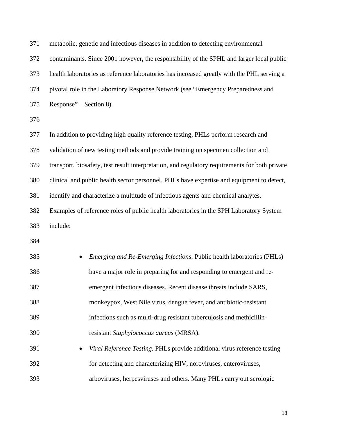| 371 | metabolic, genetic and infectious diseases in addition to detecting environmental              |
|-----|------------------------------------------------------------------------------------------------|
| 372 | contaminants. Since 2001 however, the responsibility of the SPHL and larger local public       |
| 373 | health laboratories as reference laboratories has increased greatly with the PHL serving a     |
| 374 | pivotal role in the Laboratory Response Network (see "Emergency Preparedness and               |
| 375 | Response" – Section 8).                                                                        |
| 376 |                                                                                                |
| 377 | In addition to providing high quality reference testing, PHLs perform research and             |
| 378 | validation of new testing methods and provide training on specimen collection and              |
| 379 | transport, biosafety, test result interpretation, and regulatory requirements for both private |
| 380 | clinical and public health sector personnel. PHLs have expertise and equipment to detect,      |
| 381 | identify and characterize a multitude of infectious agents and chemical analytes.              |
| 382 | Examples of reference roles of public health laboratories in the SPH Laboratory System         |
| 383 | include:                                                                                       |
| 384 |                                                                                                |
| 385 | Emerging and Re-Emerging Infections. Public health laboratories (PHLs)                         |
| 386 | have a major role in preparing for and responding to emergent and re-                          |
| 387 | emergent infectious diseases. Recent disease threats include SARS,                             |
| 388 | monkeypox, West Nile virus, dengue fever, and antibiotic-resistant                             |
| 389 | infections such as multi-drug resistant tuberculosis and methicillin-                          |
| 390 | resistant Staphylococcus aureus (MRSA).                                                        |
| 391 | Viral Reference Testing. PHLs provide additional virus reference testing                       |
| 392 | for detecting and characterizing HIV, noroviruses, enteroviruses,                              |
| 393 | arboviruses, herpesviruses and others. Many PHLs carry out serologic                           |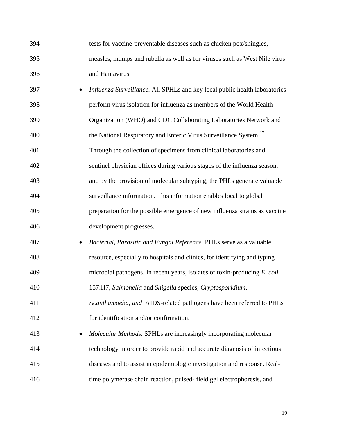394 tests for vaccine-preventable diseases such as chicken pox/shingles, 395 measles, mumps and rubella as well as for viruses such as West Nile virus 396 and Hantavirus.

- 397 *Influenza Surveillance.* All SPHLs and key local public health laboratories 398 perform virus isolation for influenza as members of the World Health 399 Organization (WHO) and CDC Collaborating Laboratories Network and 400 the National Respiratory and Enteric Virus Surveillance System.<sup>17</sup> 401 Through the collection of specimens from clinical laboratories and 402 sentinel physician offices during various stages of the influenza season, 403 and by the provision of molecular subtyping, the PHLs generate valuable 404 surveillance information. This information enables local to global 405 preparation for the possible emergence of new influenza strains as vaccine 406 development progresses.
- 407 *Bacterial, Parasitic and Fungal Reference.* PHLs serve as a valuable 408 resource, especially to hospitals and clinics, for identifying and typing 409 microbial pathogens. In recent years, isolates of toxin-producing *E. coli*  410 157:H7, *Salmonella* and *Shigella* species*, Cryptosporidium,*  411 *Acanthamoeba, and* AIDS-related pathogens have been referred to PHLs 412 for identification and/or confirmation.
- 413 *Molecular Methods.* SPHLs are increasingly incorporating molecular 414 technology in order to provide rapid and accurate diagnosis of infectious 415 diseases and to assist in epidemiologic investigation and response. Real-416 time polymerase chain reaction, pulsed- field gel electrophoresis, and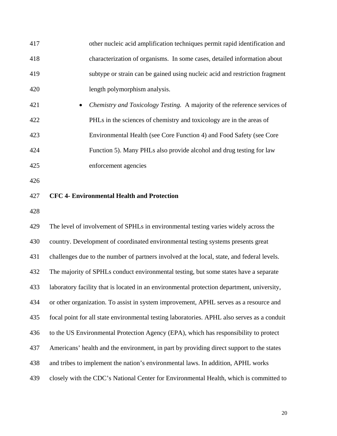| 417 | other nucleic acid amplification techniques permit rapid identification and                 |
|-----|---------------------------------------------------------------------------------------------|
| 418 | characterization of organisms. In some cases, detailed information about                    |
| 419 | subtype or strain can be gained using nucleic acid and restriction fragment                 |
| 420 | length polymorphism analysis.                                                               |
| 421 | Chemistry and Toxicology Testing. A majority of the reference services of                   |
| 422 | PHLs in the sciences of chemistry and toxicology are in the areas of                        |
| 423 | Environmental Health (see Core Function 4) and Food Safety (see Core                        |
| 424 | Function 5). Many PHLs also provide alcohol and drug testing for law                        |
| 425 | enforcement agencies                                                                        |
| 426 |                                                                                             |
| 427 | <b>CFC 4- Environmental Health and Protection</b>                                           |
| 428 |                                                                                             |
| 429 | The level of involvement of SPHLs in environmental testing varies widely across the         |
| 430 | country. Development of coordinated environmental testing systems presents great            |
| 431 | challenges due to the number of partners involved at the local, state, and federal levels.  |
| 432 | The majority of SPHLs conduct environmental testing, but some states have a separate        |
| 433 | laboratory facility that is located in an environmental protection department, university,  |
| 434 | or other organization. To assist in system improvement, APHL serves as a resource and       |
| 435 | focal point for all state environmental testing laboratories. APHL also serves as a conduit |
| 436 | to the US Environmental Protection Agency (EPA), which has responsibility to protect        |
| 437 | Americans' health and the environment, in part by providing direct support to the states    |
| 438 | and tribes to implement the nation's environmental laws. In addition, APHL works            |
| 439 | closely with the CDC's National Center for Environmental Health, which is committed to      |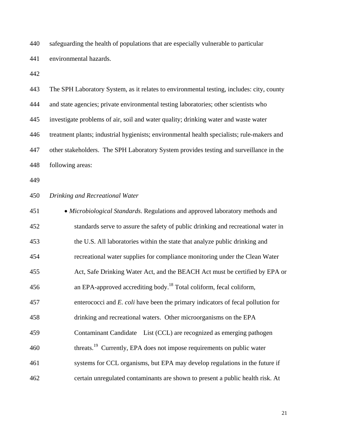440 safeguarding the health of populations that are especially vulnerable to particular 441 environmental hazards.

442

| 443 | The SPH Laboratory System, as it relates to environmental testing, includes: city, county  |
|-----|--------------------------------------------------------------------------------------------|
| 444 | and state agencies; private environmental testing laboratories; other scientists who       |
| 445 | investigate problems of air, soil and water quality; drinking water and waste water        |
| 446 | treatment plants; industrial hygienists; environmental health specialists; rule-makers and |
| 447 | other stakeholders. The SPH Laboratory System provides testing and surveillance in the     |
| 448 | following areas:                                                                           |
| 449 |                                                                                            |
| 450 | Drinking and Recreational Water                                                            |
| 451 | · Microbiological Standards. Regulations and approved laboratory methods and               |
| 452 | standards serve to assure the safety of public drinking and recreational water in          |
| 453 | the U.S. All laboratories within the state that analyze public drinking and                |
| 454 | recreational water supplies for compliance monitoring under the Clean Water                |
| 455 | Act, Safe Drinking Water Act, and the BEACH Act must be certified by EPA or                |
| 456 | an EPA-approved accrediting body. <sup>18</sup> Total coliform, fecal coliform,            |
| 457 | enterococci and E. coli have been the primary indicators of fecal pollution for            |
| 458 | drinking and recreational waters. Other microorganisms on the EPA                          |
| 459 | Contaminant Candidate List (CCL) are recognized as emerging pathogen                       |
| 460 | threats. <sup>19</sup> Currently, EPA does not impose requirements on public water         |
| 461 | systems for CCL organisms, but EPA may develop regulations in the future if                |
| 462 | certain unregulated contaminants are shown to present a public health risk. At             |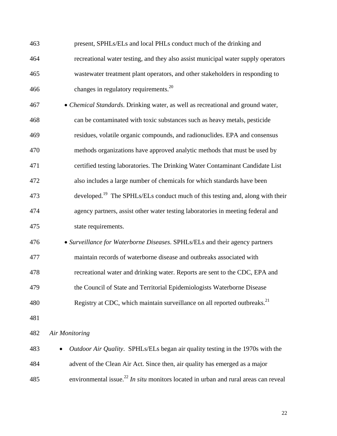| 463 | present, SPHLs/ELs and local PHLs conduct much of the drinking and                        |
|-----|-------------------------------------------------------------------------------------------|
| 464 | recreational water testing, and they also assist municipal water supply operators         |
| 465 | wastewater treatment plant operators, and other stakeholders in responding to             |
| 466 | changes in regulatory requirements. <sup>20</sup>                                         |
| 467 | • Chemical Standards. Drinking water, as well as recreational and ground water,           |
| 468 | can be contaminated with toxic substances such as heavy metals, pesticide                 |
| 469 | residues, volatile organic compounds, and radionuclides. EPA and consensus                |
| 470 | methods organizations have approved analytic methods that must be used by                 |
| 471 | certified testing laboratories. The Drinking Water Contaminant Candidate List             |
| 472 | also includes a large number of chemicals for which standards have been                   |
| 473 | developed. <sup>19</sup> The SPHLs/ELs conduct much of this testing and, along with their |
| 474 | agency partners, assist other water testing laboratories in meeting federal and           |
| 475 | state requirements.                                                                       |
| 476 | • Surveillance for Waterborne Diseases. SPHLs/ELs and their agency partners               |
| 477 | maintain records of waterborne disease and outbreaks associated with                      |
| 478 | recreational water and drinking water. Reports are sent to the CDC, EPA and               |
| 479 | the Council of State and Territorial Epidemiologists Waterborne Disease                   |
| 480 | Registry at CDC, which maintain surveillance on all reported outbreaks. <sup>21</sup>     |
| 481 |                                                                                           |
| 482 | Air Monitoring                                                                            |
| 483 | Outdoor Air Quality. SPHLs/ELs began air quality testing in the 1970s with the            |
| 484 | advent of the Clean Air Act. Since then, air quality has emerged as a major               |

environmental issue.22 485 *In situ* monitors located in urban and rural areas can reveal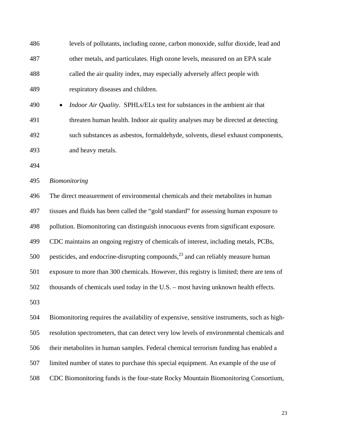486 levels of pollutants, including ozone, carbon monoxide, sulfur dioxide, lead and 487 other metals, and particulates. High ozone levels, measured on an EPA scale 488 called the air quality index, may especially adversely affect people with 489 respiratory diseases and children. 490 *Indoor Air Quality*. SPHLs/ELs test for substances in the ambient air that

- 491 threaten human health. Indoor air quality analyses may be directed at detecting 492 such substances as asbestos, formaldehyde, solvents, diesel exhaust components, 493 and heavy metals.
- 494

503

495 *Biomonitoring* 

496 The direct measurement of environmental chemicals and their metabolites in human 497 tissues and fluids has been called the "gold standard" for assessing human exposure to 498 pollution. Biomonitoring can distinguish innocuous events from significant exposure. 499 CDC maintains an ongoing registry of chemicals of interest, including metals, PCBs, 500 pesticides, and endocrine-disrupting compounds,  $^{23}$  and can reliably measure human 501 exposure to more than 300 chemicals. However, this registry is limited; there are tens of 502 thousands of chemicals used today in the U.S. – most having unknown health effects.

504 Biomonitoring requires the availability of expensive, sensitive instruments, such as high-505 resolution spectrometers, that can detect very low levels of environmental chemicals and 506 their metabolites in human samples. Federal chemical terrorism funding has enabled a 507 limited number of states to purchase this special equipment. An example of the use of 508 CDC Biomonitoring funds is the four-state Rocky Mountain Biomonitoring Consortium,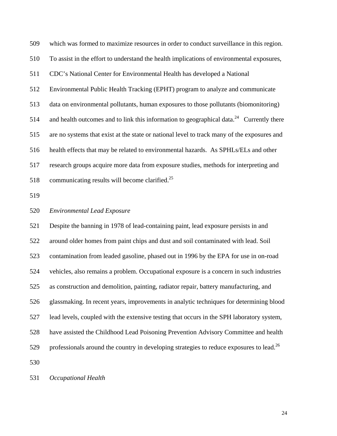509 which was formed to maximize resources in order to conduct surveillance in this region. 510 To assist in the effort to understand the health implications of environmental exposures, 511 CDC's National Center for Environmental Health has developed a National 512 Environmental Public Health Tracking (EPHT) program to analyze and communicate 513 data on environmental pollutants, human exposures to those pollutants (biomonitoring) 514 and health outcomes and to link this information to geographical data.<sup>24</sup> Currently there 515 are no systems that exist at the state or national level to track many of the exposures and 516 health effects that may be related to environmental hazards. As SPHLs/ELs and other 517 research groups acquire more data from exposure studies, methods for interpreting and 518 communicating results will become clarified.<sup>25</sup>

519

### 520 *Environmental Lead Exposure*

521 Despite the banning in 1978 of lead-containing paint, lead exposure persists in and 522 around older homes from paint chips and dust and soil contaminated with lead. Soil 523 contamination from leaded gasoline, phased out in 1996 by the EPA for use in on-road 524 vehicles, also remains a problem. Occupational exposure is a concern in such industries 525 as construction and demolition, painting, radiator repair, battery manufacturing, and 526 glassmaking. In recent years, improvements in analytic techniques for determining blood 527 lead levels, coupled with the extensive testing that occurs in the SPH laboratory system, 528 have assisted the Childhood Lead Poisoning Prevention Advisory Committee and health 529 professionals around the country in developing strategies to reduce exposures to lead.<sup>26</sup> 530

### 531 *Occupational Health*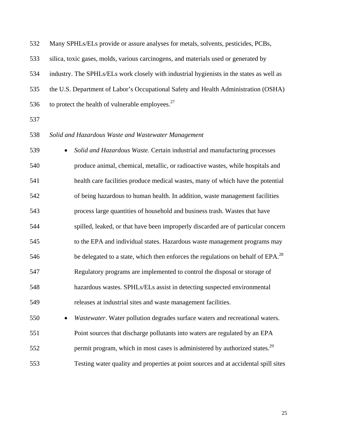532 Many SPHLs/ELs provide or assure analyses for metals, solvents, pesticides, PCBs, 533 silica, toxic gases, molds, various carcinogens, and materials used or generated by 534 industry. The SPHLs/ELs work closely with industrial hygienists in the states as well as 535 the U.S. Department of Labor's Occupational Safety and Health Administration (OSHA) 536 to protect the health of vulnerable employees.<sup>27</sup>

537

538 *Solid and Hazardous Waste and Wastewater Management* 

539 *Solid and Hazardous Waste*. Certain industrial and manufacturing processes 540 produce animal, chemical, metallic, or radioactive wastes, while hospitals and 541 health care facilities produce medical wastes, many of which have the potential 542 of being hazardous to human health. In addition, waste management facilities 543 process large quantities of household and business trash. Wastes that have 544 spilled, leaked, or that have been improperly discarded are of particular concern 545 to the EPA and individual states. Hazardous waste management programs may 546 be delegated to a state, which then enforces the regulations on behalf of  $EPA.<sup>28</sup>$ 547 Regulatory programs are implemented to control the disposal or storage of 548 hazardous wastes. SPHLs/ELs assist in detecting suspected environmental 549 releases at industrial sites and waste management facilities. 550 *Wastewater*. Water pollution degrades surface waters and recreational waters. 551 Point sources that discharge pollutants into waters are regulated by an EPA

- $552$  permit program, which in most cases is administered by authorized states.<sup>29</sup>
- 553 Testing water quality and properties at point sources and at accidental spill sites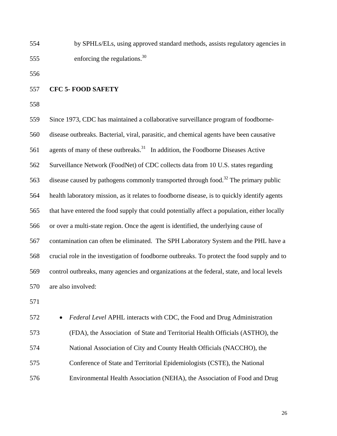554 by SPHLs/ELs, using approved standard methods, assists regulatory agencies in 555 enforcing the regulations.<sup>30</sup>

556

557 **CFC 5- FOOD SAFETY**

558

559 Since 1973, CDC has maintained a collaborative surveillance program of foodborne-560 disease outbreaks. Bacterial, viral, parasitic, and chemical agents have been causative 561 agents of many of these outbreaks.<sup>31</sup> In addition, the Foodborne Diseases Active 562 Surveillance Network (FoodNet) of CDC collects data from 10 U.S. states regarding 563 disease caused by pathogens commonly transported through food.<sup>32</sup> The primary public 564 health laboratory mission, as it relates to foodborne disease, is to quickly identify agents 565 that have entered the food supply that could potentially affect a population, either locally 566 or over a multi-state region. Once the agent is identified, the underlying cause of 567 contamination can often be eliminated. The SPH Laboratory System and the PHL have a 568 crucial role in the investigation of foodborne outbreaks. To protect the food supply and to 569 control outbreaks, many agencies and organizations at the federal, state, and local levels 570 are also involved:

571

572 *Federal Level* APHL interacts with CDC, the Food and Drug Administration 573 (FDA), the Association of State and Territorial Health Officials (ASTHO), the 574 National Association of City and County Health Officials (NACCHO), the 575 Conference of State and Territorial Epidemiologists (CSTE), the National 576 Environmental Health Association (NEHA), the Association of Food and Drug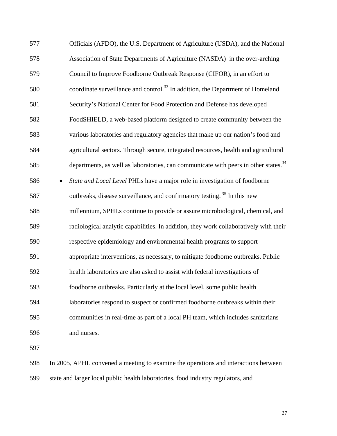| 577 | Officials (AFDO), the U.S. Department of Agriculture (USDA), and the National                   |
|-----|-------------------------------------------------------------------------------------------------|
| 578 | Association of State Departments of Agriculture (NASDA) in the over-arching                     |
| 579 | Council to Improve Foodborne Outbreak Response (CIFOR), in an effort to                         |
| 580 | coordinate surveillance and control. <sup>33</sup> In addition, the Department of Homeland      |
| 581 | Security's National Center for Food Protection and Defense has developed                        |
| 582 | FoodSHIELD, a web-based platform designed to create community between the                       |
| 583 | various laboratories and regulatory agencies that make up our nation's food and                 |
| 584 | agricultural sectors. Through secure, integrated resources, health and agricultural             |
| 585 | departments, as well as laboratories, can communicate with peers in other states. <sup>34</sup> |
| 586 | State and Local Level PHLs have a major role in investigation of foodborne<br>$\bullet$         |
| 587 | outbreaks, disease surveillance, and confirmatory testing. <sup>35</sup> In this new            |
| 588 | millennium, SPHLs continue to provide or assure microbiological, chemical, and                  |
| 589 | radiological analytic capabilities. In addition, they work collaboratively with their           |
| 590 | respective epidemiology and environmental health programs to support                            |
| 591 | appropriate interventions, as necessary, to mitigate foodborne outbreaks. Public                |
| 592 | health laboratories are also asked to assist with federal investigations of                     |
| 593 | foodborne outbreaks. Particularly at the local level, some public health                        |
| 594 | laboratories respond to suspect or confirmed foodborne outbreaks within their                   |
| 595 | communities in real-time as part of a local PH team, which includes sanitarians                 |
| 596 | and nurses.                                                                                     |
| 597 |                                                                                                 |
| 598 | In 2005, APHL convened a meeting to examine the operations and interactions between             |
|     |                                                                                                 |

599 state and larger local public health laboratories, food industry regulators, and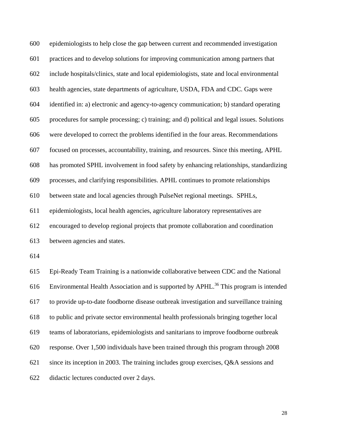600 epidemiologists to help close the gap between current and recommended investigation 601 practices and to develop solutions for improving communication among partners that 602 include hospitals/clinics, state and local epidemiologists, state and local environmental 603 health agencies, state departments of agriculture, USDA, FDA and CDC. Gaps were 604 identified in: a) electronic and agency-to-agency communication; b) standard operating 605 procedures for sample processing; c) training; and d) political and legal issues. Solutions 606 were developed to correct the problems identified in the four areas. Recommendations 607 focused on processes, accountability, training, and resources. Since this meeting, APHL 608 has promoted SPHL involvement in food safety by enhancing relationships, standardizing 609 processes, and clarifying responsibilities. APHL continues to promote relationships 610 between state and local agencies through PulseNet regional meetings. SPHLs, 611 epidemiologists, local health agencies, agriculture laboratory representatives are 612 encouraged to develop regional projects that promote collaboration and coordination 613 between agencies and states. 614

615 Epi-Ready Team Training is a nationwide collaborative between CDC and the National 616 Environmental Health Association and is supported by APHL.<sup>36</sup> This program is intended 617 to provide up-to-date foodborne disease outbreak investigation and surveillance training 618 to public and private sector environmental health professionals bringing together local 619 teams of laboratorians, epidemiologists and sanitarians to improve foodborne outbreak 620 response. Over 1,500 individuals have been trained through this program through 2008 621 since its inception in 2003. The training includes group exercises, Q&A sessions and 622 didactic lectures conducted over 2 days.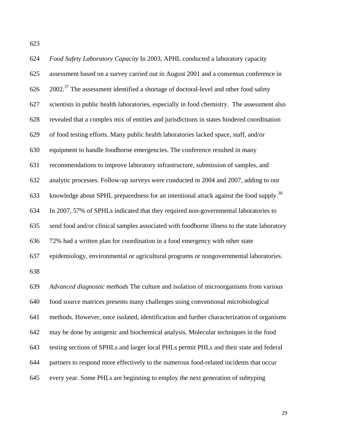| 624 | Food Safety Laboratory Capacity In 2003, APHL conducted a laboratory capacity                      |
|-----|----------------------------------------------------------------------------------------------------|
| 625 | assessment based on a survey carried out in August 2001 and a consensus conference in              |
| 626 | 2002. <sup>37</sup> The assessment identified a shortage of doctoral-level and other food safety   |
| 627 | scientists in public health laboratories, especially in food chemistry. The assessment also        |
| 628 | revealed that a complex mix of entities and jurisdictions in states hindered coordination          |
| 629 | of food testing efforts. Many public health laboratories lacked space, staff, and/or               |
| 630 | equipment to handle foodborne emergencies. The conference resulted in many                         |
| 631 | recommendations to improve laboratory infrastructure, submission of samples, and                   |
| 632 | analytic processes. Follow-up surveys were conducted in 2004 and 2007, adding to our               |
| 633 | knowledge about SPHL preparedness for an intentional attack against the food supply. <sup>38</sup> |
| 634 | In 2007, 57% of SPHLs indicated that they required non-governmental laboratories to                |
| 635 | send food and/or clinical samples associated with foodborne illness to the state laboratory        |
| 636 | 72% had a written plan for coordination in a food emergency with other state                       |
| 637 | epidemiology, environmental or agricultural programs or nongovernmental laboratories.              |
| 638 |                                                                                                    |
| 639 | Advanced diagnostic methods The culture and isolation of microorganisms from various               |
| 640 | food source matrices presents many challenges using conventional microbiological                   |
| 641 | methods. However, once isolated, identification and further characterization of organisms          |
| 642 | may be done by antigenic and biochemical analysis. Molecular techniques in the food                |
| 643 | testing sections of SPHLs and larger local PHLs permit PHLs and their state and federal            |
| 644 | partners to respond more effectively to the numerous food-related incidents that occur             |
| 645 | every year. Some PHLs are beginning to employ the next generation of subtyping                     |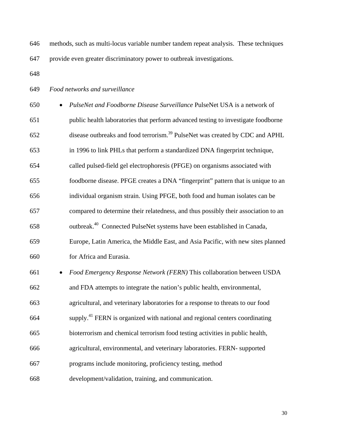646 methods, such as multi-locus variable number tandem repeat analysis. These techniques 647 provide even greater discriminatory power to outbreak investigations.

648

649 *Food networks and surveillance* 

650 *PulseNet and Foodborne Disease Surveillance* PulseNet USA is a network of 651 public health laboratories that perform advanced testing to investigate foodborne 652 disease outbreaks and food terrorism.<sup>39</sup> PulseNet was created by CDC and APHL 653 in 1996 to link PHLs that perform a standardized DNA fingerprint technique, 654 called pulsed-field gel electrophoresis (PFGE) on organisms associated with 655 foodborne disease. PFGE creates a DNA "fingerprint" pattern that is unique to an 656 individual organism strain. Using PFGE, both food and human isolates can be 657 compared to determine their relatedness, and thus possibly their association to an outbreak.40 658 Connected PulseNet systems have been established in Canada, 659 Europe, Latin America, the Middle East, and Asia Pacific, with new sites planned 660 for Africa and Eurasia. 661 *Food Emergency Response Network (FERN)* This collaboration between USDA 662 and FDA attempts to integrate the nation's public health, environmental, 663 agricultural, and veterinary laboratories for a response to threats to our food

 $664$  supply.<sup>41</sup> FERN is organized with national and regional centers coordinating

665 bioterrorism and chemical terrorism food testing activities in public health,

666 agricultural, environmental, and veterinary laboratories. FERN- supported

667 programs include monitoring, proficiency testing, method

668 development/validation, training, and communication.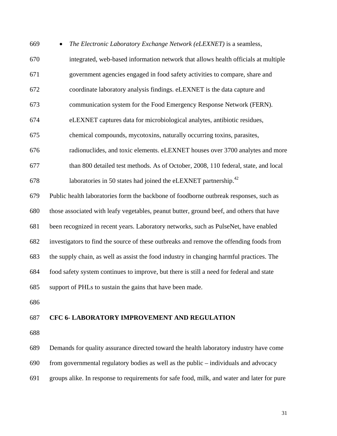| 669 | The Electronic Laboratory Exchange Network (eLEXNET) is a seamless,<br>$\bullet$         |
|-----|------------------------------------------------------------------------------------------|
| 670 | integrated, web-based information network that allows health officials at multiple       |
| 671 | government agencies engaged in food safety activities to compare, share and              |
| 672 | coordinate laboratory analysis findings. eLEXNET is the data capture and                 |
| 673 | communication system for the Food Emergency Response Network (FERN).                     |
| 674 | eLEXNET captures data for microbiological analytes, antibiotic residues,                 |
| 675 | chemical compounds, mycotoxins, naturally occurring toxins, parasites,                   |
| 676 | radionuclides, and toxic elements. eLEXNET houses over 3700 analytes and more            |
| 677 | than 800 detailed test methods. As of October, 2008, 110 federal, state, and local       |
| 678 | laboratories in 50 states had joined the eLEXNET partnership. <sup>42</sup>              |
| 679 | Public health laboratories form the backbone of foodborne outbreak responses, such as    |
| 680 | those associated with leafy vegetables, peanut butter, ground beef, and others that have |
| 681 | been recognized in recent years. Laboratory networks, such as PulseNet, have enabled     |
| 682 | investigators to find the source of these outbreaks and remove the offending foods from  |
| 683 | the supply chain, as well as assist the food industry in changing harmful practices. The |
| 684 | food safety system continues to improve, but there is still a need for federal and state |
| 685 | support of PHLs to sustain the gains that have been made.                                |
| 686 |                                                                                          |

## 687 **CFC 6- LABORATORY IMPROVEMENT AND REGULATION**

688

689 Demands for quality assurance directed toward the health laboratory industry have come

690 from governmental regulatory bodies as well as the public – individuals and advocacy

691 groups alike. In response to requirements for safe food, milk, and water and later for pure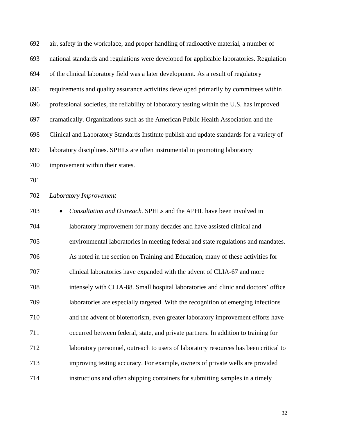| 692 | air, safety in the workplace, and proper handling of radioactive material, a number of     |
|-----|--------------------------------------------------------------------------------------------|
| 693 | national standards and regulations were developed for applicable laboratories. Regulation  |
| 694 | of the clinical laboratory field was a later development. As a result of regulatory        |
| 695 | requirements and quality assurance activities developed primarily by committees within     |
| 696 | professional societies, the reliability of laboratory testing within the U.S. has improved |
| 697 | dramatically. Organizations such as the American Public Health Association and the         |
| 698 | Clinical and Laboratory Standards Institute publish and update standards for a variety of  |
| 699 | laboratory disciplines. SPHLs are often instrumental in promoting laboratory               |
| 700 | improvement within their states.                                                           |
| 701 |                                                                                            |
| 702 | Laboratory Improvement                                                                     |
| 703 | Consultation and Outreach. SPHLs and the APHL have been involved in<br>$\bullet$           |
| 704 | laboratory improvement for many decades and have assisted clinical and                     |
| 705 | environmental laboratories in meeting federal and state regulations and mandates.          |
| 706 | As noted in the section on Training and Education, many of these activities for            |
| 707 | clinical laboratories have expanded with the advent of CLIA-67 and more                    |
| 708 | intensely with CLIA-88. Small hospital laboratories and clinic and doctors' office         |
| 709 | laboratories are especially targeted. With the recognition of emerging infections          |
| 710 | and the advent of bioterrorism, even greater laboratory improvement efforts have           |
| 711 | occurred between federal, state, and private partners. In addition to training for         |
| 712 | laboratory personnel, outreach to users of laboratory resources has been critical to       |
| 713 | improving testing accuracy. For example, owners of private wells are provided              |
| 714 | instructions and often shipping containers for submitting samples in a timely              |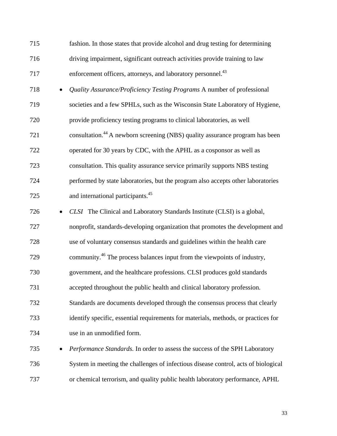| 715 |           | fashion. In those states that provide alcohol and drug testing for determining           |
|-----|-----------|------------------------------------------------------------------------------------------|
| 716 |           | driving impairment, significant outreach activities provide training to law              |
| 717 |           | enforcement officers, attorneys, and laboratory personnel. <sup>43</sup>                 |
| 718 |           | Quality Assurance/Proficiency Testing Programs A number of professional                  |
| 719 |           | societies and a few SPHLs, such as the Wisconsin State Laboratory of Hygiene,            |
| 720 |           | provide proficiency testing programs to clinical laboratories, as well                   |
| 721 |           | consultation. <sup>44</sup> A newborn screening (NBS) quality assurance program has been |
| 722 |           | operated for 30 years by CDC, with the APHL as a cosponsor as well as                    |
| 723 |           | consultation. This quality assurance service primarily supports NBS testing              |
| 724 |           | performed by state laboratories, but the program also accepts other laboratories         |
| 725 |           | and international participants. <sup>45</sup>                                            |
| 726 |           | CLSI The Clinical and Laboratory Standards Institute (CLSI) is a global,                 |
| 727 |           | nonprofit, standards-developing organization that promotes the development and           |
| 728 |           | use of voluntary consensus standards and guidelines within the health care               |
| 729 |           | community. <sup>46</sup> The process balances input from the viewpoints of industry,     |
| 730 |           | government, and the healthcare professions. CLSI produces gold standards                 |
| 731 |           | accepted throughout the public health and clinical laboratory profession.                |
| 732 |           | Standards are documents developed through the consensus process that clearly             |
| 733 |           | identify specific, essential requirements for materials, methods, or practices for       |
| 734 |           | use in an unmodified form.                                                               |
| 735 | $\bullet$ | Performance Standards. In order to assess the success of the SPH Laboratory              |
| 736 |           | System in meeting the challenges of infectious disease control, acts of biological       |
| 737 |           | or chemical terrorism, and quality public health laboratory performance, APHL            |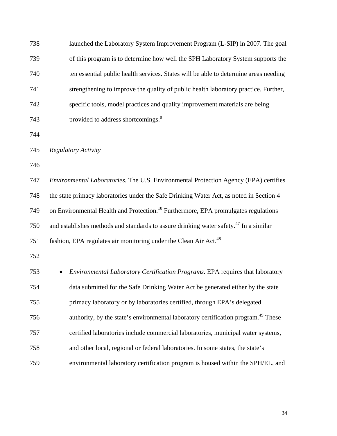| 738 | launched the Laboratory System Improvement Program (L-SIP) in 2007. The goal                      |
|-----|---------------------------------------------------------------------------------------------------|
| 739 | of this program is to determine how well the SPH Laboratory System supports the                   |
| 740 | ten essential public health services. States will be able to determine areas needing              |
| 741 | strengthening to improve the quality of public health laboratory practice. Further,               |
| 742 | specific tools, model practices and quality improvement materials are being                       |
| 743 | provided to address shortcomings. <sup>8</sup>                                                    |
| 744 |                                                                                                   |
| 745 | <b>Regulatory Activity</b>                                                                        |
| 746 |                                                                                                   |
| 747 | Environmental Laboratories. The U.S. Environmental Protection Agency (EPA) certifies              |
| 748 | the state primacy laboratories under the Safe Drinking Water Act, as noted in Section 4           |
| 749 | on Environmental Health and Protection. <sup>18</sup> Furthermore, EPA promulgates regulations    |
| 750 | and establishes methods and standards to assure drinking water safety. <sup>47</sup> In a similar |
| 751 | fashion, EPA regulates air monitoring under the Clean Air Act. <sup>48</sup>                      |
| 752 |                                                                                                   |
| 753 | Environmental Laboratory Certification Programs. EPA requires that laboratory                     |
| 754 | data submitted for the Safe Drinking Water Act be generated either by the state                   |
| 755 | primacy laboratory or by laboratories certified, through EPA's delegated                          |
| 756 | authority, by the state's environmental laboratory certification program. <sup>49</sup> These     |
| 757 | certified laboratories include commercial laboratories, municipal water systems,                  |
| 758 | and other local, regional or federal laboratories. In some states, the state's                    |
| 759 | environmental laboratory certification program is housed within the SPH/EL, and                   |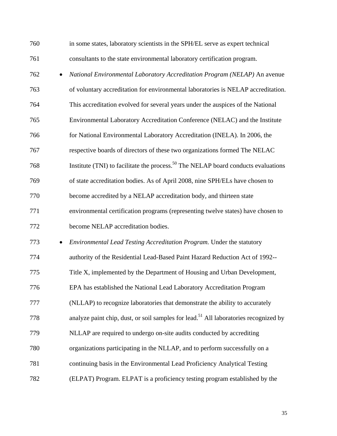| 760 |           | in some states, laboratory scientists in the SPH/EL serve as expert technical                    |
|-----|-----------|--------------------------------------------------------------------------------------------------|
| 761 |           | consultants to the state environmental laboratory certification program.                         |
| 762 | $\bullet$ | National Environmental Laboratory Accreditation Program (NELAP) An avenue                        |
| 763 |           | of voluntary accreditation for environmental laboratories is NELAP accreditation.                |
| 764 |           | This accreditation evolved for several years under the auspices of the National                  |
| 765 |           | Environmental Laboratory Accreditation Conference (NELAC) and the Institute                      |
| 766 |           | for National Environmental Laboratory Accreditation (INELA). In 2006, the                        |
| 767 |           | respective boards of directors of these two organizations formed The NELAC                       |
| 768 |           | Institute (TNI) to facilitate the process. <sup>50</sup> The NELAP board conducts evaluations    |
| 769 |           | of state accreditation bodies. As of April 2008, nine SPH/ELs have chosen to                     |
| 770 |           | become accredited by a NELAP accreditation body, and thirteen state                              |
| 771 |           | environmental certification programs (representing twelve states) have chosen to                 |
| 772 |           | become NELAP accreditation bodies.                                                               |
| 773 |           | Environmental Lead Testing Accreditation Program. Under the statutory                            |
| 774 |           | authority of the Residential Lead-Based Paint Hazard Reduction Act of 1992--                     |
| 775 |           | Title X, implemented by the Department of Housing and Urban Development,                         |
| 776 |           | EPA has established the National Lead Laboratory Accreditation Program                           |
| 777 |           | (NLLAP) to recognize laboratories that demonstrate the ability to accurately                     |
| 778 |           | analyze paint chip, dust, or soil samples for lead. <sup>51</sup> All laboratories recognized by |
| 779 |           | NLLAP are required to undergo on-site audits conducted by accrediting                            |
| 780 |           | organizations participating in the NLLAP, and to perform successfully on a                       |
| 781 |           | continuing basis in the Environmental Lead Proficiency Analytical Testing                        |
| 782 |           | (ELPAT) Program. ELPAT is a proficiency testing program established by the                       |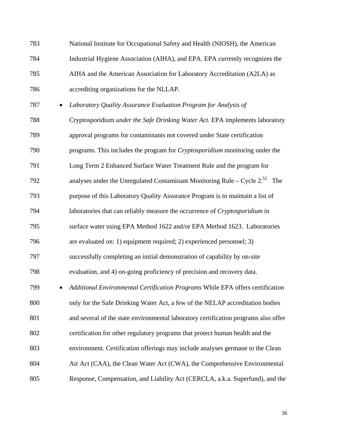| 783 | National Institute for Occupational Safety and Health (NIOSH), the American         |
|-----|-------------------------------------------------------------------------------------|
| 784 | Industrial Hygiene Association (AIHA), and EPA. EPA currently recognizes the        |
| 785 | AIHA and the American Association for Laboratory Accreditation (A2LA) as            |
| 786 | accrediting organizations for the NLLAP.                                            |
| 787 | Laboratory Quality Assurance Evaluation Program for Analysis of                     |
| 788 | Cryptosporidium under the Safe Drinking Water Act. EPA implements laboratory        |
| 789 | approval programs for contaminants not covered under State certification            |
| 790 | programs. This includes the program for <i>Cryptosporidium</i> monitoring under the |
| 791 | Long Term 2 Enhanced Surface Water Treatment Rule and the program for               |
| 792 | analyses under the Unregulated Contaminant Monitoring Rule – Cycle $2^{52}$ The     |
| 793 | purpose of this Laboratory Quality Assurance Program is to maintain a list of       |
| 794 | laboratories that can reliably measure the occurrence of <i>Cryptosporidium</i> in  |
| 795 | surface water using EPA Method 1622 and/or EPA Method 1623. Laboratories            |
| 796 | are evaluated on: 1) equipment required; 2) experienced personnel; 3)               |
| 797 | successfully completing an initial demonstration of capability by on-site           |
| 798 | evaluation, and 4) on-going proficiency of precision and recovery data.             |
| 799 | Additional Environmental Certification Programs While EPA offers certification      |
| 800 | only for the Safe Drinking Water Act, a few of the NELAP accreditation bodies       |
| 801 | and several of the state environmental laboratory certification programs also offer |
| 802 | certification for other regulatory programs that protect human health and the       |
| 803 | environment. Certification offerings may include analyses germane to the Clean      |
| 804 | Air Act (CAA), the Clean Water Act (CWA), the Comprehensive Environmental           |
| 805 | Response, Compensation, and Liability Act (CERCLA, a.k.a. Superfund), and the       |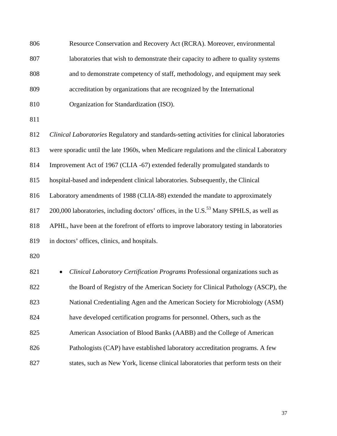| 806 | Resource Conservation and Recovery Act (RCRA). Moreover, environmental                             |
|-----|----------------------------------------------------------------------------------------------------|
| 807 | laboratories that wish to demonstrate their capacity to adhere to quality systems                  |
| 808 | and to demonstrate competency of staff, methodology, and equipment may seek                        |
| 809 | accreditation by organizations that are recognized by the International                            |
| 810 | Organization for Standardization (ISO).                                                            |
| 811 |                                                                                                    |
| 812 | Clinical Laboratories Regulatory and standards-setting activities for clinical laboratories        |
| 813 | were sporadic until the late 1960s, when Medicare regulations and the clinical Laboratory          |
| 814 | Improvement Act of 1967 (CLIA -67) extended federally promulgated standards to                     |
| 815 | hospital-based and independent clinical laboratories. Subsequently, the Clinical                   |
| 816 | Laboratory amendments of 1988 (CLIA-88) extended the mandate to approximately                      |
| 817 | 200,000 laboratories, including doctors' offices, in the U.S. <sup>53</sup> Many SPHLS, as well as |
| 818 | APHL, have been at the forefront of efforts to improve laboratory testing in laboratories          |
| 819 | in doctors' offices, clinics, and hospitals.                                                       |
| 820 |                                                                                                    |
| 821 | Clinical Laboratory Certification Programs Professional organizations such as                      |
| 822 | the Board of Registry of the American Society for Clinical Pathology (ASCP), the                   |
| 823 | National Credentialing Agen and the American Society for Microbiology (ASM)                        |
| 824 | have developed certification programs for personnel. Others, such as the                           |
| 825 | American Association of Blood Banks (AABB) and the College of American                             |
| 826 | Pathologists (CAP) have established laboratory accreditation programs. A few                       |
| 827 | states, such as New York, license clinical laboratories that perform tests on their                |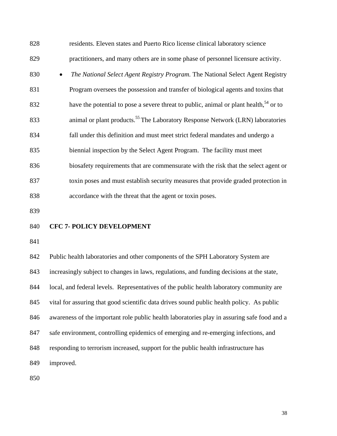| 828              | residents. Eleven states and Puerto Rico license clinical laboratory science               |
|------------------|--------------------------------------------------------------------------------------------|
| 829              | practitioners, and many others are in some phase of personnel licensure activity.          |
| 830<br>$\bullet$ | The National Select Agent Registry Program. The National Select Agent Registry             |
| 831              | Program oversees the possession and transfer of biological agents and toxins that          |
| 832              | have the potential to pose a severe threat to public, animal or plant health, $54$ or to   |
| 833              | animal or plant products. <sup>55</sup> The Laboratory Response Network (LRN) laboratories |
| 834              | fall under this definition and must meet strict federal mandates and undergo a             |
| 835              | biennial inspection by the Select Agent Program. The facility must meet                    |
| 836              | biosafety requirements that are commensurate with the risk that the select agent or        |
| 837              | toxin poses and must establish security measures that provide graded protection in         |
| 838              | accordance with the threat that the agent or toxin poses.                                  |

#### 840 **CFC 7- POLICY DEVELOPMENT**

841

842 Public health laboratories and other components of the SPH Laboratory System are 843 increasingly subject to changes in laws, regulations, and funding decisions at the state, 844 local, and federal levels. Representatives of the public health laboratory community are 845 vital for assuring that good scientific data drives sound public health policy. As public 846 awareness of the important role public health laboratories play in assuring safe food and a 847 safe environment, controlling epidemics of emerging and re-emerging infections, and 848 responding to terrorism increased, support for the public health infrastructure has 849 improved.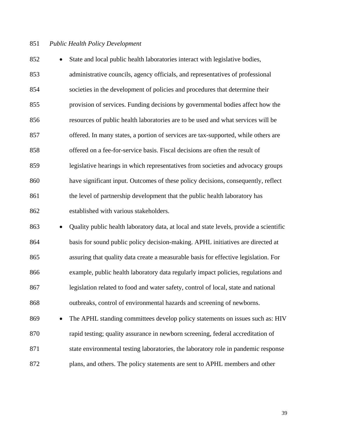# 851 *Public Health Policy Development*

| 852              | State and local public health laboratories interact with legislative bodies,           |
|------------------|----------------------------------------------------------------------------------------|
| 853              | administrative councils, agency officials, and representatives of professional         |
| 854              | societies in the development of policies and procedures that determine their           |
| 855              | provision of services. Funding decisions by governmental bodies affect how the         |
| 856              | resources of public health laboratories are to be used and what services will be       |
| 857              | offered. In many states, a portion of services are tax-supported, while others are     |
| 858              | offered on a fee-for-service basis. Fiscal decisions are often the result of           |
| 859              | legislative hearings in which representatives from societies and advocacy groups       |
| 860              | have significant input. Outcomes of these policy decisions, consequently, reflect      |
| 861              | the level of partnership development that the public health laboratory has             |
| 862              | established with various stakeholders.                                                 |
| 863<br>$\bullet$ | Quality public health laboratory data, at local and state levels, provide a scientific |
| 864              | basis for sound public policy decision-making. APHL initiatives are directed at        |
| 865              | assuring that quality data create a measurable basis for effective legislation. For    |
| 866              | example, public health laboratory data regularly impact policies, regulations and      |
| 867              | legislation related to food and water safety, control of local, state and national     |
| 868              | outbreaks, control of environmental hazards and screening of newborns.                 |
| 869              | The APHL standing committees develop policy statements on issues such as: HIV          |
| 870              | rapid testing; quality assurance in newborn screening, federal accreditation of        |
| 871              | state environmental testing laboratories, the laboratory role in pandemic response     |
| 872              | plans, and others. The policy statements are sent to APHL members and other            |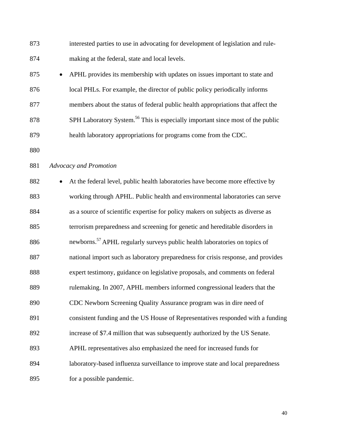| 873 | interested parties to use in advocating for development of legislation and rule- |
|-----|----------------------------------------------------------------------------------|
| 874 | making at the federal, state and local levels.                                   |

875 • APHL provides its membership with updates on issues important to state and 876 local PHLs. For example, the director of public policy periodically informs 877 members about the status of federal public health appropriations that affect the 878 SPH Laboratory System.<sup>56</sup> This is especially important since most of the public 879 health laboratory appropriations for programs come from the CDC.

880

## 881 *Advocacy and Promotion*

882 • At the federal level, public health laboratories have become more effective by 883 working through APHL. Public health and environmental laboratories can serve 884 as a source of scientific expertise for policy makers on subjects as diverse as 885 terrorism preparedness and screening for genetic and hereditable disorders in 886 health laboratories on topics of  $886$  are newborns.<sup>57</sup> APHL regularly surveys public health laboratories on topics of 887 national import such as laboratory preparedness for crisis response, and provides 888 expert testimony, guidance on legislative proposals, and comments on federal 889 rulemaking. In 2007, APHL members informed congressional leaders that the 890 CDC Newborn Screening Quality Assurance program was in dire need of 891 consistent funding and the US House of Representatives responded with a funding 892 increase of \$7.4 million that was subsequently authorized by the US Senate. 893 APHL representatives also emphasized the need for increased funds for 894 laboratory-based influenza surveillance to improve state and local preparedness 895 for a possible pandemic.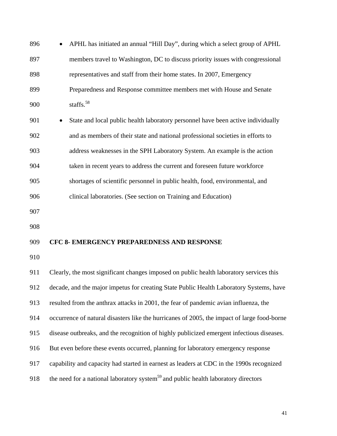| 896 | APHL has initiated an annual "Hill Day", during which a select group of APHL                   |  |
|-----|------------------------------------------------------------------------------------------------|--|
| 897 | members travel to Washington, DC to discuss priority issues with congressional                 |  |
| 898 | representatives and staff from their home states. In 2007, Emergency                           |  |
| 899 | Preparedness and Response committee members met with House and Senate                          |  |
| 900 | staffs. <sup>58</sup>                                                                          |  |
| 901 | State and local public health laboratory personnel have been active individually               |  |
| 902 | and as members of their state and national professional societies in efforts to                |  |
| 903 | address weaknesses in the SPH Laboratory System. An example is the action                      |  |
| 904 | taken in recent years to address the current and foreseen future workforce                     |  |
| 905 | shortages of scientific personnel in public health, food, environmental, and                   |  |
| 906 | clinical laboratories. (See section on Training and Education)                                 |  |
| 907 |                                                                                                |  |
| 908 |                                                                                                |  |
| 909 | <b>CFC 8- EMERGENCY PREPAREDNESS AND RESPONSE</b>                                              |  |
| 910 |                                                                                                |  |
| 911 | Clearly, the most significant changes imposed on public health laboratory services this        |  |
| 912 | decade, and the major impetus for creating State Public Health Laboratory Systems, have        |  |
| 913 | resulted from the anthrax attacks in 2001, the fear of pandemic avian influenza, the           |  |
| 914 | occurrence of natural disasters like the hurricanes of 2005, the impact of large food-borne    |  |
| 915 | disease outbreaks, and the recognition of highly publicized emergent infectious diseases.      |  |
| 916 | But even before these events occurred, planning for laboratory emergency response              |  |
| 917 | capability and capacity had started in earnest as leaders at CDC in the 1990s recognized       |  |
| 918 | the need for a national laboratory system <sup>59</sup> and public health laboratory directors |  |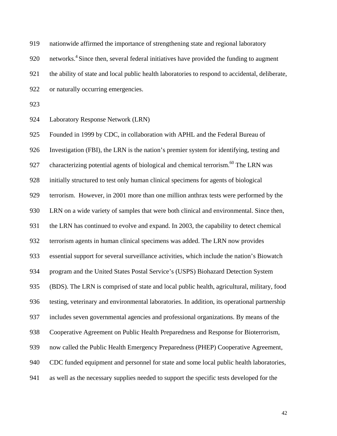| 919 | nationwide affirmed the importance of strengthening state and regional laboratory                   |
|-----|-----------------------------------------------------------------------------------------------------|
| 920 | networks. <sup>4</sup> Since then, several federal initiatives have provided the funding to augment |
| 921 | the ability of state and local public health laboratories to respond to accidental, deliberate,     |
| 922 | or naturally occurring emergencies.                                                                 |
| 923 |                                                                                                     |
| 924 | <b>Laboratory Response Network (LRN)</b>                                                            |
| 925 | Founded in 1999 by CDC, in collaboration with APHL and the Federal Bureau of                        |
| 926 | Investigation (FBI), the LRN is the nation's premier system for identifying, testing and            |
| 927 | characterizing potential agents of biological and chemical terrorism. <sup>60</sup> The LRN was     |
| 928 | initially structured to test only human clinical specimens for agents of biological                 |
| 929 | terrorism. However, in 2001 more than one million anthrax tests were performed by the               |
| 930 | LRN on a wide variety of samples that were both clinical and environmental. Since then,             |
| 931 | the LRN has continued to evolve and expand. In 2003, the capability to detect chemical              |
| 932 | terrorism agents in human clinical specimens was added. The LRN now provides                        |
| 933 | essential support for several surveillance activities, which include the nation's Biowatch          |
| 934 | program and the United States Postal Service's (USPS) Biohazard Detection System                    |
| 935 | (BDS). The LRN is comprised of state and local public health, agricultural, military, food          |
| 936 | testing, veterinary and environmental laboratories. In addition, its operational partnership        |
| 937 | includes seven governmental agencies and professional organizations. By means of the                |
| 938 | Cooperative Agreement on Public Health Preparedness and Response for Bioterrorism,                  |
| 939 | now called the Public Health Emergency Preparedness (PHEP) Cooperative Agreement,                   |
| 940 | CDC funded equipment and personnel for state and some local public health laboratories,             |
| 941 | as well as the necessary supplies needed to support the specific tests developed for the            |
|     |                                                                                                     |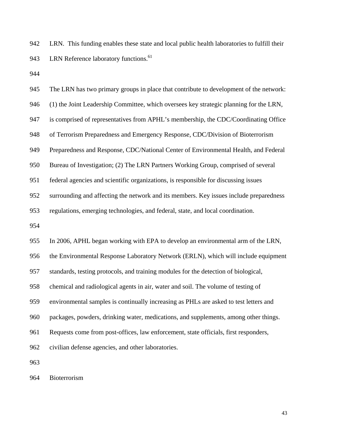942 LRN. This funding enables these state and local public health laboratories to fulfill their 943 LRN Reference laboratory functions.<sup>61</sup>

944

945 The LRN has two primary groups in place that contribute to development of the network: 946 (1) the Joint Leadership Committee, which oversees key strategic planning for the LRN, 947 is comprised of representatives from APHL's membership, the CDC/Coordinating Office 948 of Terrorism Preparedness and Emergency Response, CDC/Division of Bioterrorism 949 Preparedness and Response, CDC/National Center of Environmental Health, and Federal 950 Bureau of Investigation; (2) The LRN Partners Working Group, comprised of several 951 federal agencies and scientific organizations, is responsible for discussing issues 952 surrounding and affecting the network and its members. Key issues include preparedness 953 regulations, emerging technologies, and federal, state, and local coordination. 954 955 In 2006, APHL began working with EPA to develop an environmental arm of the LRN, 956 the Environmental Response Laboratory Network (ERLN), which will include equipment 957 standards, testing protocols, and training modules for the detection of biological, 958 chemical and radiological agents in air, water and soil. The volume of testing of 959 environmental samples is continually increasing as PHLs are asked to test letters and 960 packages, powders, drinking water, medications, and supplements, among other things. 961 Requests come from post-offices, law enforcement, state officials, first responders, 962 civilian defense agencies, and other laboratories. 963

964 Bioterrorism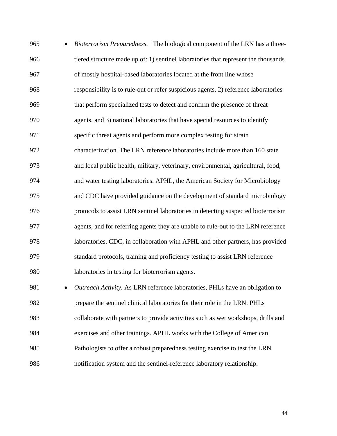| 965 | Bioterrorism Preparedness. The biological component of the LRN has a three-         |
|-----|-------------------------------------------------------------------------------------|
| 966 | tiered structure made up of: 1) sentinel laboratories that represent the thousands  |
| 967 | of mostly hospital-based laboratories located at the front line whose               |
| 968 | responsibility is to rule-out or refer suspicious agents, 2) reference laboratories |
| 969 | that perform specialized tests to detect and confirm the presence of threat         |
| 970 | agents, and 3) national laboratories that have special resources to identify        |
| 971 | specific threat agents and perform more complex testing for strain                  |
| 972 | characterization. The LRN reference laboratories include more than 160 state        |
| 973 | and local public health, military, veterinary, environmental, agricultural, food,   |
| 974 | and water testing laboratories. APHL, the American Society for Microbiology         |
| 975 | and CDC have provided guidance on the development of standard microbiology          |
| 976 | protocols to assist LRN sentinel laboratories in detecting suspected bioterrorism   |
| 977 | agents, and for referring agents they are unable to rule-out to the LRN reference   |
| 978 | laboratories. CDC, in collaboration with APHL and other partners, has provided      |
| 979 | standard protocols, training and proficiency testing to assist LRN reference        |
| 980 | laboratories in testing for bioterrorism agents.                                    |
| 981 | Outreach Activity. As LRN reference laboratories, PHLs have an obligation to        |
| 982 | prepare the sentinel clinical laboratories for their role in the LRN. PHLs          |
| 983 | collaborate with partners to provide activities such as wet workshops, drills and   |
| 984 | exercises and other trainings. APHL works with the College of American              |
| 985 | Pathologists to offer a robust preparedness testing exercise to test the LRN        |
| 986 | notification system and the sentinel-reference laboratory relationship.             |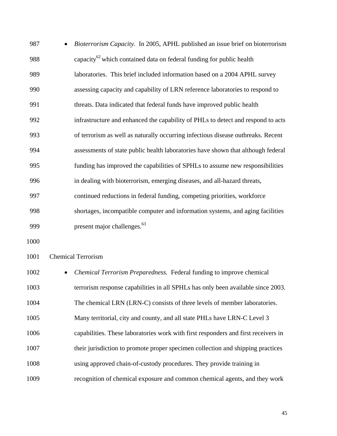| 987 | Bioterrorism Capacity. In 2005, APHL published an issue brief on bioterrorism    |
|-----|----------------------------------------------------------------------------------|
| 988 | capacity <sup>62</sup> which contained data on federal funding for public health |
| 989 | laboratories. This brief included information based on a 2004 APHL survey        |
| 990 | assessing capacity and capability of LRN reference laboratories to respond to    |
| 991 | threats. Data indicated that federal funds have improved public health           |
| 992 | infrastructure and enhanced the capability of PHLs to detect and respond to acts |
| 993 | of terrorism as well as naturally occurring infectious disease outbreaks. Recent |
| 994 | assessments of state public health laboratories have shown that although federal |
| 995 | funding has improved the capabilities of SPHLs to assume new responsibilities    |
| 996 | in dealing with bioterrorism, emerging diseases, and all-hazard threats,         |
| 997 | continued reductions in federal funding, competing priorities, workforce         |
| 998 | shortages, incompatible computer and information systems, and aging facilities   |
| 999 | present major challenges. <sup>63</sup>                                          |

1001 Chemical Terrorism

| 1002 | • <i>Chemical Terrorism Preparedness.</i> Federal funding to improve chemical      |
|------|------------------------------------------------------------------------------------|
| 1003 | terrorism response capabilities in all SPHLs has only been available since 2003.   |
| 1004 | The chemical LRN (LRN-C) consists of three levels of member laboratories.          |
| 1005 | Many territorial, city and county, and all state PHLs have LRN-C Level 3           |
| 1006 | capabilities. These laboratories work with first responders and first receivers in |
| 1007 | their jurisdiction to promote proper specimen collection and shipping practices    |
| 1008 | using approved chain-of-custody procedures. They provide training in               |
| 1009 | recognition of chemical exposure and common chemical agents, and they work         |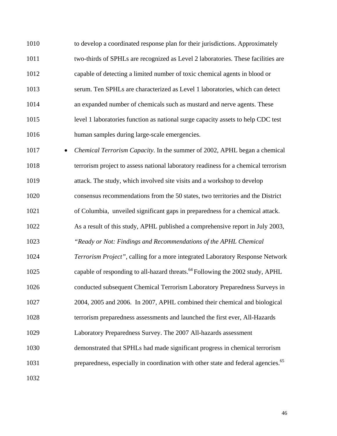1010 to develop a coordinated response plan for their jurisdictions. Approximately 1011 two-thirds of SPHLs are recognized as Level 2 laboratories. These facilities are 1012 capable of detecting a limited number of toxic chemical agents in blood or 1013 serum. Ten SPHLs are characterized as Level 1 laboratories, which can detect 1014 an expanded number of chemicals such as mustard and nerve agents. These 1015 level 1 laboratories function as national surge capacity assets to help CDC test 1016 human samples during large-scale emergencies.

1017 *Chemical Terrorism Capacity.* In the summer of 2002, APHL began a chemical 1018 terrorism project to assess national laboratory readiness for a chemical terrorism 1019 attack. The study, which involved site visits and a workshop to develop 1020 consensus recommendations from the 50 states, two territories and the District 1021 of Columbia, unveiled significant gaps in preparedness for a chemical attack. 1022 As a result of this study, APHL published a comprehensive report in July 2003, 1023 *"Ready or Not: Findings and Recommendations of the APHL Chemical*  1024 *Terrorism Project"*, calling for a more integrated Laboratory Response Network 1025 capable of responding to all-hazard threats.<sup>64</sup> Following the 2002 study, APHL 1026 conducted subsequent Chemical Terrorism Laboratory Preparedness Surveys in 1027 2004, 2005 and 2006. In 2007, APHL combined their chemical and biological 1028 terrorism preparedness assessments and launched the first ever, All-Hazards 1029 Laboratory Preparedness Survey. The 2007 All-hazards assessment 1030 demonstrated that SPHLs had made significant progress in chemical terrorism 1031 preparedness, especially in coordination with other state and federal agencies.<sup>65</sup>

1032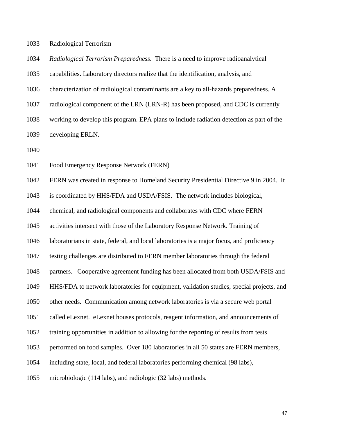- 1033 Radiological Terrorism
- 1034 *Radiological Terrorism Preparedness.* There is a need to improve radioanalytical
- 1035 capabilities. Laboratory directors realize that the identification, analysis, and
- 1036 characterization of radiological contaminants are a key to all-hazards preparedness. A
- 1037 radiological component of the LRN (LRN-R) has been proposed, and CDC is currently
- 1038 working to develop this program. EPA plans to include radiation detection as part of the
- 1039 developing ERLN.
- 1040
- 1041 Food Emergency Response Network (FERN)
- 1042 FERN was created in response to Homeland Security Presidential Directive 9 in 2004. It
- 1043 is coordinated by HHS/FDA and USDA/FSIS. The network includes biological,
- 1044 chemical, and radiological components and collaborates with CDC where FERN
- 1045 activities intersect with those of the Laboratory Response Network. Training of
- 1046 laboratorians in state, federal, and local laboratories is a major focus, and proficiency
- 1047 testing challenges are distributed to FERN member laboratories through the federal
- 1048 partners. Cooperative agreement funding has been allocated from both USDA/FSIS and
- 1049 HHS/FDA to network laboratories for equipment, validation studies, special projects, and
- 1050 other needs. Communication among network laboratories is via a secure web portal
- 1051 called eLexnet. eLexnet houses protocols, reagent information, and announcements of
- 1052 training opportunities in addition to allowing for the reporting of results from tests
- 1053 performed on food samples. Over 180 laboratories in all 50 states are FERN members,
- 1054 including state, local, and federal laboratories performing chemical (98 labs),
- 1055 microbiologic (114 labs), and radiologic (32 labs) methods.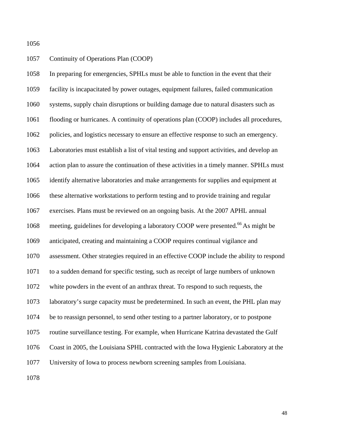1057 Continuity of Operations Plan (COOP)

| 1058 | In preparing for emergencies, SPHLs must be able to function in the event that their           |
|------|------------------------------------------------------------------------------------------------|
| 1059 | facility is incapacitated by power outages, equipment failures, failed communication           |
| 1060 | systems, supply chain disruptions or building damage due to natural disasters such as          |
| 1061 | flooding or hurricanes. A continuity of operations plan (COOP) includes all procedures,        |
| 1062 | policies, and logistics necessary to ensure an effective response to such an emergency.        |
| 1063 | Laboratories must establish a list of vital testing and support activities, and develop an     |
| 1064 | action plan to assure the continuation of these activities in a timely manner. SPHLs must      |
| 1065 | identify alternative laboratories and make arrangements for supplies and equipment at          |
| 1066 | these alternative workstations to perform testing and to provide training and regular          |
| 1067 | exercises. Plans must be reviewed on an ongoing basis. At the 2007 APHL annual                 |
| 1068 | meeting, guidelines for developing a laboratory COOP were presented. <sup>66</sup> As might be |
| 1069 | anticipated, creating and maintaining a COOP requires continual vigilance and                  |
| 1070 | assessment. Other strategies required in an effective COOP include the ability to respond      |
| 1071 | to a sudden demand for specific testing, such as receipt of large numbers of unknown           |
| 1072 | white powders in the event of an anthrax threat. To respond to such requests, the              |
| 1073 | laboratory's surge capacity must be predetermined. In such an event, the PHL plan may          |
| 1074 | be to reassign personnel, to send other testing to a partner laboratory, or to postpone        |
| 1075 | routine surveillance testing. For example, when Hurricane Katrina devastated the Gulf          |
| 1076 | Coast in 2005, the Louisiana SPHL contracted with the Iowa Hygienic Laboratory at the          |
| 1077 | University of Iowa to process newborn screening samples from Louisiana.                        |
|      |                                                                                                |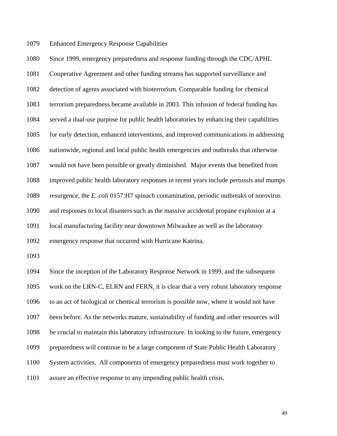1079 Enhanced Emergency Response Capabilities

1080 Since 1999, emergency preparedness and response funding through the CDC/APHL 1081 Cooperative Agreement and other funding streams has supported surveillance and 1082 detection of agents associated with bioterrorism. Comparable funding for chemical 1083 terrorism preparedness became available in 2003. This infusion of federal funding has 1084 served a dual-use purpose for public health laboratories by enhancing their capabilities 1085 for early detection, enhanced interventions, and improved communications in addressing 1086 nationwide, regional and local public health emergencies and outbreaks that otherwise 1087 would not have been possible or greatly diminished. Major events that benefited from 1088 improved public health laboratory responses in recent years include pertussis and mumps 1089 resurgence, the *E. coli* 0157:H7 spinach contamination, periodic outbreaks of norovirus 1090 and responses to local disasters such as the massive accidental propane explosion at a 1091 local manufacturing facility near downtown Milwaukee as well as the laboratory 1092 emergency response that occurred with Hurricane Katrina. 1093

1094 Since the inception of the Laboratory Response Network in 1999, and the subsequent 1095 work on the LRN-C, ELRN and FERN, it is clear that a very robust laboratory response 1096 to an act of biological or chemical terrorism is possible now, where it would not have 1097 been before. As the networks mature, sustainability of funding and other resources will 1098 be crucial to maintain this laboratory infrastructure. In looking to the future, emergency 1099 preparedness will continue to be a large component of State Public Health Laboratory 1100 System activities. All components of emergency preparedness must work together to 1101 assure an effective response to any impending public health crisis.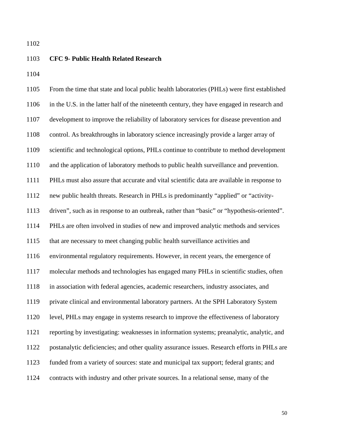## 1103 **CFC 9- Public Health Related Research**

1104

1105 From the time that state and local public health laboratories (PHLs) were first established 1106 in the U.S. in the latter half of the nineteenth century, they have engaged in research and 1107 development to improve the reliability of laboratory services for disease prevention and 1108 control. As breakthroughs in laboratory science increasingly provide a larger array of 1109 scientific and technological options, PHLs continue to contribute to method development 1110 and the application of laboratory methods to public health surveillance and prevention. 1111 PHLs must also assure that accurate and vital scientific data are available in response to 1112 new public health threats. Research in PHLs is predominantly "applied" or "activity-1113 driven", such as in response to an outbreak, rather than "basic" or "hypothesis-oriented". 1114 PHLs are often involved in studies of new and improved analytic methods and services 1115 that are necessary to meet changing public health surveillance activities and 1116 environmental regulatory requirements. However, in recent years, the emergence of 1117 molecular methods and technologies has engaged many PHLs in scientific studies, often 1118 in association with federal agencies, academic researchers, industry associates, and 1119 private clinical and environmental laboratory partners. At the SPH Laboratory System 1120 level, PHLs may engage in systems research to improve the effectiveness of laboratory 1121 reporting by investigating: weaknesses in information systems; preanalytic, analytic, and 1122 postanalytic deficiencies; and other quality assurance issues. Research efforts in PHLs are 1123 funded from a variety of sources: state and municipal tax support; federal grants; and 1124 contracts with industry and other private sources. In a relational sense, many of the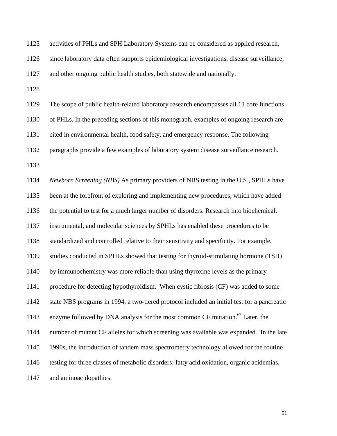1125 activities of PHLs and SPH Laboratory Systems can be considered as applied research,

1126 since laboratory data often supports epidemiological investigations, disease surveillance,

1127 and other ongoing public health studies, both statewide and nationally.

1128

1129 The scope of public health-related laboratory research encompasses all 11 core functions

1130 of PHLs. In the preceding sections of this monograph, examples of ongoing research are

1131 cited in environmental health, food safety, and emergency response. The following

1132 paragraphs provide a few examples of laboratory system disease surveillance research.

1133

1134 *Newborn Screening (NBS)* As primary providers of NBS testing in the U.S., SPHLs have 1135 been at the forefront of exploring and implementing new procedures, which have added 1136 the potential to test for a much larger number of disorders. Research into biochemical, 1137 instrumental, and molecular sciences by SPHLs has enabled these procedures to be 1138 standardized and controlled relative to their sensitivity and specificity. For example, 1139 studies conducted in SPHLs showed that testing for thyroid-stimulating hormone (TSH) 1140 by immunochemistry was more reliable than using thyroxine levels as the primary 1141 procedure for detecting hypothyroidism. When cystic fibrosis (CF) was added to some 1142 state NBS programs in 1994, a two-tiered protocol included an initial test for a pancreatic 1143 enzyme followed by DNA analysis for the most common CF mutation.<sup>67</sup> Later, the 1144 number of mutant CF alleles for which screening was available was expanded. In the late 1145 1990s, the introduction of tandem mass spectrometry technology allowed for the routine 1146 testing for three classes of metabolic disorders: fatty acid oxidation, organic acidemias, 1147 and aminoacidopathies.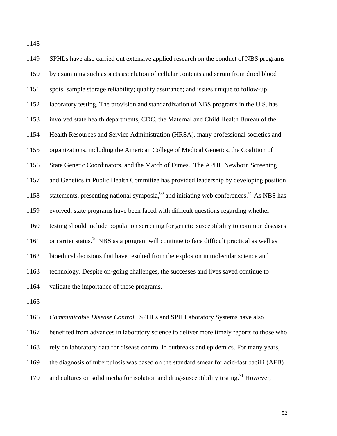1149 SPHLs have also carried out extensive applied research on the conduct of NBS programs 1150 by examining such aspects as: elution of cellular contents and serum from dried blood 1151 spots; sample storage reliability; quality assurance; and issues unique to follow-up 1152 laboratory testing. The provision and standardization of NBS programs in the U.S. has 1153 involved state health departments, CDC, the Maternal and Child Health Bureau of the 1154 Health Resources and Service Administration (HRSA), many professional societies and 1155 organizations, including the American College of Medical Genetics, the Coalition of 1156 State Genetic Coordinators, and the March of Dimes. The APHL Newborn Screening 1157 and Genetics in Public Health Committee has provided leadership by developing position 1158 statements, presenting national symposia, $^{68}$  and initiating web conferences. $^{69}$  As NBS has 1159 evolved, state programs have been faced with difficult questions regarding whether 1160 testing should include population screening for genetic susceptibility to common diseases 1161 or carrier status.<sup>70</sup> NBS as a program will continue to face difficult practical as well as 1162 bioethical decisions that have resulted from the explosion in molecular science and 1163 technology. Despite on-going challenges, the successes and lives saved continue to 1164 validate the importance of these programs.

1165

1166 *Communicable Disease Control* SPHLs and SPH Laboratory Systems have also

1167 benefited from advances in laboratory science to deliver more timely reports to those who

1168 rely on laboratory data for disease control in outbreaks and epidemics. For many years,

1169 the diagnosis of tuberculosis was based on the standard smear for acid-fast bacilli (AFB)

1170 and cultures on solid media for isolation and drug-susceptibility testing.<sup>71</sup> However,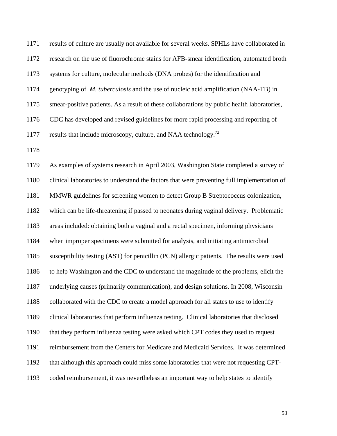1171 results of culture are usually not available for several weeks. SPHLs have collaborated in 1172 research on the use of fluorochrome stains for AFB-smear identification, automated broth 1173 systems for culture, molecular methods (DNA probes) for the identification and 1174 genotyping of *M. tuberculosis* and the use of nucleic acid amplification (NAA-TB) in 1175 smear-positive patients. As a result of these collaborations by public health laboratories, 1176 CDC has developed and revised guidelines for more rapid processing and reporting of 1177 results that include microscopy, culture, and NAA technology.<sup>72</sup>

1178

1179 As examples of systems research in April 2003, Washington State completed a survey of 1180 clinical laboratories to understand the factors that were preventing full implementation of 1181 MMWR guidelines for screening women to detect Group B Streptococcus colonization, 1182 which can be life-threatening if passed to neonates during vaginal delivery. Problematic 1183 areas included: obtaining both a vaginal and a rectal specimen*,* informing physicians 1184 when improper specimens were submitted for analysis, and initiating antimicrobial 1185 susceptibility testing (AST) for penicillin (PCN) allergic patients. The results were used 1186 to help Washington and the CDC to understand the magnitude of the problems, elicit the 1187 underlying causes (primarily communication), and design solutions. In 2008, Wisconsin 1188 collaborated with the CDC to create a model approach for all states to use to identify 1189 clinical laboratories that perform influenza testing. Clinical laboratories that disclosed 1190 that they perform influenza testing were asked which CPT codes they used to request 1191 reimbursement from the Centers for Medicare and Medicaid Services. It was determined 1192 that although this approach could miss some laboratories that were not requesting CPT-1193 coded reimbursement, it was nevertheless an important way to help states to identify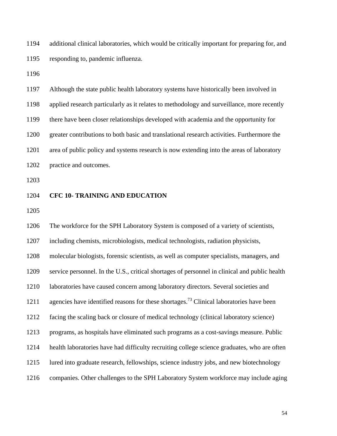1194 additional clinical laboratories, which would be critically important for preparing for, and 1195 responding to, pandemic influenza.

1196

1197 Although the state public health laboratory systems have historically been involved in 1198 applied research particularly as it relates to methodology and surveillance, more recently 1199 there have been closer relationships developed with academia and the opportunity for 1200 greater contributions to both basic and translational research activities. Furthermore the 1201 area of public policy and systems research is now extending into the areas of laboratory 1202 practice and outcomes.

1203

#### 1204 **CFC 10- TRAINING AND EDUCATION**

1205

1206 The workforce for the SPH Laboratory System is composed of a variety of scientists, 1207 including chemists, microbiologists, medical technologists, radiation physicists, 1208 molecular biologists, forensic scientists, as well as computer specialists, managers, and 1209 service personnel. In the U.S., critical shortages of personnel in clinical and public health 1210 laboratories have caused concern among laboratory directors. Several societies and 1211 agencies have identified reasons for these shortages.<sup>73</sup> Clinical laboratories have been 1212 facing the scaling back or closure of medical technology (clinical laboratory science) 1213 programs, as hospitals have eliminated such programs as a cost-savings measure. Public 1214 health laboratories have had difficulty recruiting college science graduates, who are often 1215 lured into graduate research, fellowships, science industry jobs, and new biotechnology 1216 companies. Other challenges to the SPH Laboratory System workforce may include aging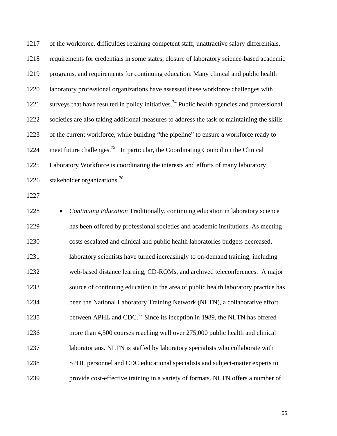1217 of the workforce, difficulties retaining competent staff, unattractive salary differentials, 1218 requirements for credentials in some states, closure of laboratory science-based academic 1219 programs, and requirements for continuing education. Many clinical and public health 1220 laboratory professional organizations have assessed these workforce challenges with 1221 surveys that have resulted in policy initiatives.<sup>74</sup> Public health agencies and professional 1222 societies are also taking additional measures to address the task of maintaining the skills 1223 of the current workforce, while building "the pipeline" to ensure a workforce ready to 1224 meet future challenges.<sup>75</sup> In particular, the Coordinating Council on the Clinical 1225 Laboratory Workforce is coordinating the interests and efforts of many laboratory 1226 stakeholder organizations.<sup>76</sup>

1227

1228 • *Continuing Education* Traditionally, continuing education in laboratory science 1229 has been offered by professional societies and academic institutions. As meeting 1230 costs escalated and clinical and public health laboratories budgets decreased, 1231 laboratory scientists have turned increasingly to on-demand training, including 1232 web-based distance learning, CD-ROMs, and archived teleconferences. A major 1233 source of continuing education in the area of public health laboratory practice has 1234 been the National Laboratory Training Network (NLTN), a collaborative effort 1235 between APHL and  $\text{CDC.}^{77}$  Since its inception in 1989, the NLTN has offered 1236 more than 4,500 courses reaching well over 275,000 public health and clinical 1237 laboratorians. NLTN is staffed by laboratory specialists who collaborate with 1238 SPHL personnel and CDC educational specialists and subject-matter experts to 1239 provide cost-effective training in a variety of formats. NLTN offers a number of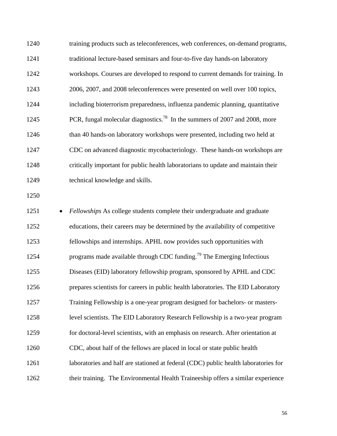| 1240              | training products such as teleconferences, web conferences, on-demand programs,        |
|-------------------|----------------------------------------------------------------------------------------|
| 1241              | traditional lecture-based seminars and four-to-five day hands-on laboratory            |
| 1242              | workshops. Courses are developed to respond to current demands for training. In        |
| 1243              | 2006, 2007, and 2008 teleconferences were presented on well over 100 topics,           |
| 1244              | including bioterrorism preparedness, influenza pandemic planning, quantitative         |
| 1245              | PCR, fungal molecular diagnostics. <sup>78</sup> In the summers of 2007 and 2008, more |
| 1246              | than 40 hands-on laboratory workshops were presented, including two held at            |
| 1247              | CDC on advanced diagnostic mycobacteriology. These hands-on workshops are              |
| 1248              | critically important for public health laboratorians to update and maintain their      |
| 1249              | technical knowledge and skills.                                                        |
| 1250              |                                                                                        |
| 1251<br>$\bullet$ | Fellowships As college students complete their undergraduate and graduate              |
| 1252              | educations, their careers may be determined by the availability of competitive         |
| 1253              | fellowships and internships. APHL now provides such opportunities with                 |
| 1254              | programs made available through CDC funding. <sup>79</sup> The Emerging Infectious     |
| 1255              | Diseases (EID) laboratory fellowship program, sponsored by APHL and CDC                |
| 1256              | prepares scientists for careers in public health laboratories. The EID Laboratory      |
| 1257              | Training Fellowship is a one-year program designed for bachelors- or masters-          |
| 1258              | level scientists. The EID Laboratory Research Fellowship is a two-year program         |
| 1259              | for doctoral-level scientists, with an emphasis on research. After orientation at      |
| 1260              | CDC, about half of the fellows are placed in local or state public health              |
| 1261              | laboratories and half are stationed at federal (CDC) public health laboratories for    |
| 1262              | their training. The Environmental Health Traineeship offers a similar experience       |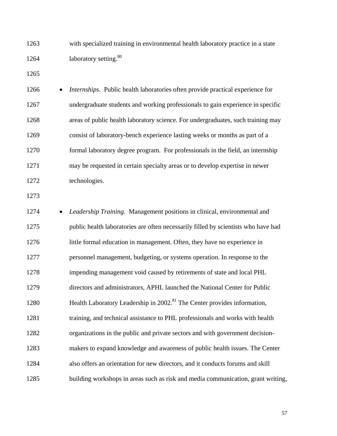1263 with specialized training in environmental health laboratory practice in a state 1264 laboratory setting.<sup>80</sup>

1265

1266 **•** *Internships*. Public health laboratories often provide practical experience for 1267 undergraduate students and working professionals to gain experience in specific 1268 areas of public health laboratory science. For undergraduates, such training may 1269 consist of laboratory-bench experience lasting weeks or months as part of a 1270 formal laboratory degree program. For professionals in the field, an internship 1271 may be requested in certain specialty areas or to develop expertise in newer 1272 technologies.

1273

1274 **•** *Leadership Training.* Management positions in clinical, environmental and 1275 public health laboratories are often necessarily filled by scientists who have had 1276 little formal education in management. Often, they have no experience in 1277 personnel management, budgeting, or systems operation. In response to the 1278 impending management void caused by retirements of state and local PHL 1279 directors and administrators, APHL launched the National Center for Public 1280 Health Laboratory Leadership in  $2002$ .<sup>81</sup> The Center provides information, 1281 training, and technical assistance to PHL professionals and works with health 1282 organizations in the public and private sectors and with government decision-1283 makers to expand knowledge and awareness of public health issues. The Center 1284 also offers an orientation for new directors, and it conducts forums and skill 1285 building workshops in areas such as risk and media communication, grant writing,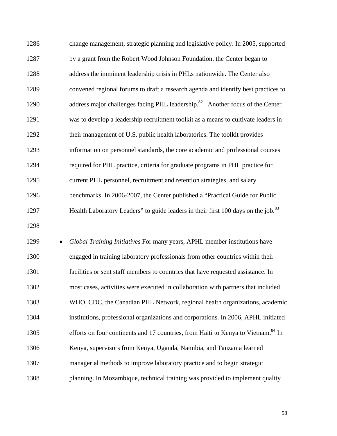| 1286 | change management, strategic planning and legislative policy. In 2005, supported              |
|------|-----------------------------------------------------------------------------------------------|
| 1287 | by a grant from the Robert Wood Johnson Foundation, the Center began to                       |
| 1288 | address the imminent leadership crisis in PHLs nationwide. The Center also                    |
| 1289 | convened regional forums to draft a research agenda and identify best practices to            |
| 1290 | address major challenges facing PHL leadership. <sup>82</sup> Another focus of the Center     |
| 1291 | was to develop a leadership recruitment toolkit as a means to cultivate leaders in            |
| 1292 | their management of U.S. public health laboratories. The toolkit provides                     |
| 1293 | information on personnel standards, the core academic and professional courses                |
| 1294 | required for PHL practice, criteria for graduate programs in PHL practice for                 |
| 1295 | current PHL personnel, recruitment and retention strategies, and salary                       |
| 1296 | benchmarks. In 2006-2007, the Center published a "Practical Guide for Public                  |
| 1297 | Health Laboratory Leaders" to guide leaders in their first 100 days on the job. <sup>83</sup> |
| 1298 |                                                                                               |

1299 • *Global Training Initiatives* For many years, APHL member institutions have 1300 engaged in training laboratory professionals from other countries within their 1301 facilities or sent staff members to countries that have requested assistance. In 1302 most cases, activities were executed in collaboration with partners that included 1303 WHO, CDC, the Canadian PHL Network, regional health organizations, academic 1304 institutions, professional organizations and corporations. In 2006, APHL initiated 1305 efforts on four continents and 17 countries, from Haiti to Kenya to Vietnam.<sup>84</sup> In 1306 Kenya, supervisors from Kenya, Uganda, Namibia, and Tanzania learned 1307 managerial methods to improve laboratory practice and to begin strategic 1308 planning. In Mozambique, technical training was provided to implement quality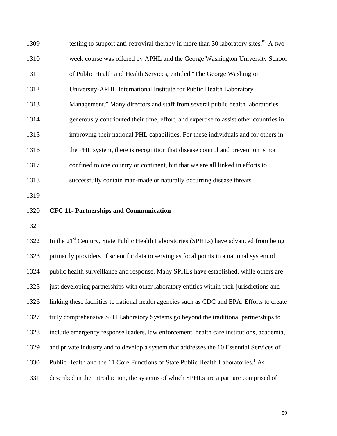| 1309 | testing to support anti-retroviral therapy in more than 30 laboratory sites. <sup>85</sup> A two-  |
|------|----------------------------------------------------------------------------------------------------|
| 1310 | week course was offered by APHL and the George Washington University School                        |
| 1311 | of Public Health and Health Services, entitled "The George Washington"                             |
| 1312 | University-APHL International Institute for Public Health Laboratory                               |
| 1313 | Management." Many directors and staff from several public health laboratories                      |
| 1314 | generously contributed their time, effort, and expertise to assist other countries in              |
| 1315 | improving their national PHL capabilities. For these individuals and for others in                 |
| 1316 | the PHL system, there is recognition that disease control and prevention is not                    |
| 1317 | confined to one country or continent, but that we are all linked in efforts to                     |
| 1318 | successfully contain man-made or naturally occurring disease threats.                              |
| 1319 |                                                                                                    |
| 1320 | <b>CFC 11- Partnerships and Communication</b>                                                      |
| 1321 |                                                                                                    |
| 1322 | In the 21 <sup>st</sup> Century, State Public Health Laboratories (SPHLs) have advanced from being |
| 1323 | primarily providers of scientific data to serving as focal points in a national system of          |
| 1324 | public health surveillance and response. Many SPHLs have established, while others are             |
| 1325 | just developing partnerships with other laboratory entities within their jurisdictions and         |
| 1326 | linking these facilities to national health agencies such as CDC and EPA. Efforts to create        |
| 1327 | truly comprehensive SPH Laboratory Systems go beyond the traditional partnerships to               |
| 1328 | include emergency response leaders, law enforcement, health care institutions, academia,           |
| 1329 | and private industry and to develop a system that addresses the 10 Essential Services of           |
|      |                                                                                                    |

1331 described in the Introduction, the systems of which SPHLs are a part are comprised of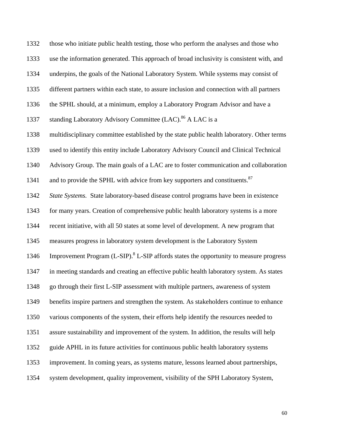1332 those who initiate public health testing, those who perform the analyses and those who

1333 use the information generated. This approach of broad inclusivity is consistent with, and

1334 underpins, the goals of the National Laboratory System. While systems may consist of

1335 different partners within each state, to assure inclusion and connection with all partners

1336 the SPHL should, at a minimum, employ a Laboratory Program Advisor and have a

1337 standing Laboratory Advisory Committee (LAC).<sup>86</sup> A LAC is a

1338 multidisciplinary committee established by the state public health laboratory. Other terms

1339 used to identify this entity include Laboratory Advisory Council and Clinical Technical

1340 Advisory Group. The main goals of a LAC are to foster communication and collaboration

1341 and to provide the SPHL with advice from key supporters and constituents.  $87$ 

1342 *State Systems.* State laboratory-based disease control programs have been in existence

1343 for many years. Creation of comprehensive public health laboratory systems is a more

1344 recent initiative, with all 50 states at some level of development. A new program that

1345 measures progress in laboratory system development is the Laboratory System

1346 Improvement Program  $(L-SIP)$ .<sup>8</sup> L-SIP affords states the opportunity to measure progress

1347 in meeting standards and creating an effective public health laboratory system. As states

1348 go through their first L-SIP assessment with multiple partners, awareness of system

1349 benefits inspire partners and strengthen the system. As stakeholders continue to enhance

1350 various components of the system, their efforts help identify the resources needed to

1351 assure sustainability and improvement of the system. In addition, the results will help

1352 guide APHL in its future activities for continuous public health laboratory systems

1353 improvement. In coming years, as systems mature, lessons learned about partnerships,

1354 system development, quality improvement, visibility of the SPH Laboratory System,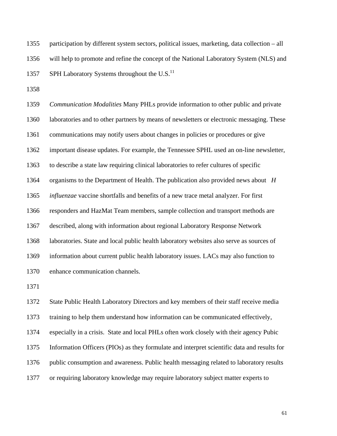1355 participation by different system sectors, political issues, marketing, data collection – all 1356 will help to promote and refine the concept of the National Laboratory System (NLS) and 1357 SPH Laboratory Systems throughout the U.S.<sup>11</sup>

1358

1359 *Communication Modalities* Many PHLs provide information to other public and private 1360 laboratories and to other partners by means of newsletters or electronic messaging. These 1361 communications may notify users about changes in policies or procedures or give 1362 important disease updates. For example, the Tennessee SPHL used an on-line newsletter, 1363 to describe a state law requiring clinical laboratories to refer cultures of specific 1364 organisms to the Department of Health. The publication also provided news about *H*  1365 *influenzae* vaccine shortfalls and benefits of a new trace metal analyzer. For first 1366 responders and HazMat Team members, sample collection and transport methods are 1367 described, along with information about regional Laboratory Response Network 1368 laboratories. State and local public health laboratory websites also serve as sources of 1369 information about current public health laboratory issues. LACs may also function to 1370 enhance communication channels.

1371

1372 State Public Health Laboratory Directors and key members of their staff receive media 1373 training to help them understand how information can be communicated effectively, 1374 especially in a crisis. State and local PHLs often work closely with their agency Pubic 1375 Information Officers (PIOs) as they formulate and interpret scientific data and results for 1376 public consumption and awareness. Public health messaging related to laboratory results 1377 or requiring laboratory knowledge may require laboratory subject matter experts to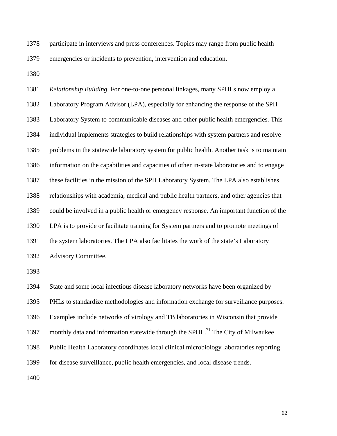1378 participate in interviews and press conferences. Topics may range from public health 1379 emergencies or incidents to prevention, intervention and education.

1380

1381 *Relationship Building.* For one-to-one personal linkages, many SPHLs now employ a 1382 Laboratory Program Advisor (LPA), especially for enhancing the response of the SPH 1383 Laboratory System to communicable diseases and other public health emergencies. This 1384 individual implements strategies to build relationships with system partners and resolve 1385 problems in the statewide laboratory system for public health. Another task is to maintain 1386 information on the capabilities and capacities of other in-state laboratories and to engage 1387 these facilities in the mission of the SPH Laboratory System. The LPA also establishes 1388 relationships with academia, medical and public health partners, and other agencies that 1389 could be involved in a public health or emergency response. An important function of the 1390 LPA is to provide or facilitate training for System partners and to promote meetings of 1391 the system laboratories. The LPA also facilitates the work of the state's Laboratory 1392 Advisory Committee.

1393

1394 State and some local infectious disease laboratory networks have been organized by

1395 PHLs to standardize methodologies and information exchange for surveillance purposes.

1396 Examples include networks of virology and TB laboratories in Wisconsin that provide

1397 monthly data and information statewide through the SPHL.<sup>71</sup> The City of Milwaukee

1398 Public Health Laboratory coordinates local clinical microbiology laboratories reporting

1399 for disease surveillance, public health emergencies, and local disease trends.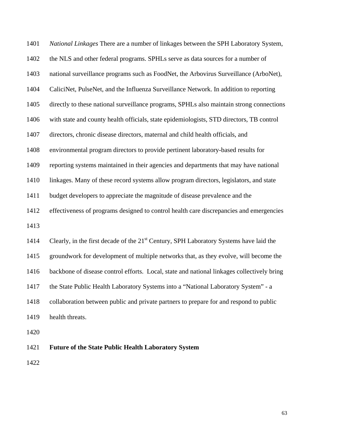1401 *National Linkages* There are a number of linkages between the SPH Laboratory System, 1402 the NLS and other federal programs. SPHLs serve as data sources for a number of 1403 national surveillance programs such as FoodNet, the Arbovirus Surveillance (ArboNet), 1404 CaliciNet, PulseNet, and the Influenza Surveillance Network. In addition to reporting 1405 directly to these national surveillance programs, SPHLs also maintain strong connections 1406 with state and county health officials, state epidemiologists, STD directors, TB control 1407 directors, chronic disease directors, maternal and child health officials, and 1408 environmental program directors to provide pertinent laboratory-based results for 1409 reporting systems maintained in their agencies and departments that may have national 1410 linkages. Many of these record systems allow program directors, legislators, and state 1411 budget developers to appreciate the magnitude of disease prevalence and the 1412 effectiveness of programs designed to control health care discrepancies and emergencies 1413 1414 Clearly, in the first decade of the  $21<sup>st</sup>$  Century, SPH Laboratory Systems have laid the 1415 groundwork for development of multiple networks that, as they evolve, will become the 1416 backbone of disease control efforts. Local, state and national linkages collectively bring 1417 the State Public Health Laboratory Systems into a "National Laboratory System" - a 1418 collaboration between public and private partners to prepare for and respond to public 1419 health threats. 1420 1421 **Future of the State Public Health Laboratory System**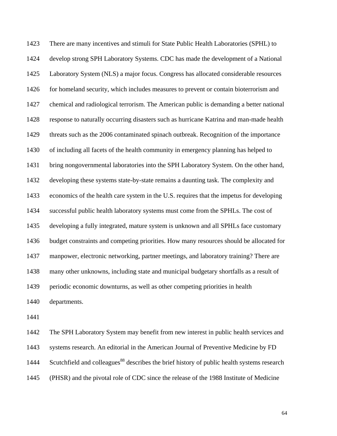1423 There are many incentives and stimuli for State Public Health Laboratories (SPHL) to 1424 develop strong SPH Laboratory Systems. CDC has made the development of a National 1425 Laboratory System (NLS) a major focus. Congress has allocated considerable resources 1426 for homeland security, which includes measures to prevent or contain bioterrorism and 1427 chemical and radiological terrorism. The American public is demanding a better national 1428 response to naturally occurring disasters such as hurricane Katrina and man-made health 1429 threats such as the 2006 contaminated spinach outbreak. Recognition of the importance 1430 of including all facets of the health community in emergency planning has helped to 1431 bring nongovernmental laboratories into the SPH Laboratory System. On the other hand, 1432 developing these systems state-by-state remains a daunting task. The complexity and 1433 economics of the health care system in the U.S. requires that the impetus for developing 1434 successful public health laboratory systems must come from the SPHLs. The cost of 1435 developing a fully integrated, mature system is unknown and all SPHLs face customary 1436 budget constraints and competing priorities. How many resources should be allocated for 1437 manpower, electronic networking, partner meetings, and laboratory training? There are 1438 many other unknowns, including state and municipal budgetary shortfalls as a result of 1439 periodic economic downturns, as well as other competing priorities in health 1440 departments.

1441

1442 The SPH Laboratory System may benefit from new interest in public health services and 1443 systems research. An editorial in the American Journal of Preventive Medicine by FD 1444 Scutchfield and colleagues<sup>88</sup> describes the brief history of public health systems research 1445 (PHSR) and the pivotal role of CDC since the release of the 1988 Institute of Medicine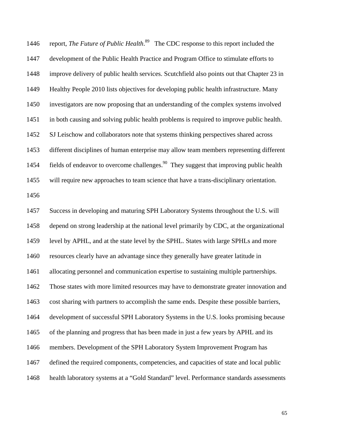1446 report, *The Future of Public Health*.<sup>89</sup> The CDC response to this report included the 1447 development of the Public Health Practice and Program Office to stimulate efforts to 1448 improve delivery of public health services. Scutchfield also points out that Chapter 23 in 1449 Healthy People 2010 lists objectives for developing public health infrastructure. Many 1450 investigators are now proposing that an understanding of the complex systems involved 1451 in both causing and solving public health problems is required to improve public health. 1452 SJ Leischow and collaborators note that systems thinking perspectives shared across 1453 different disciplines of human enterprise may allow team members representing different 1454 fields of endeavor to overcome challenges.<sup>90</sup> They suggest that improving public health 1455 will require new approaches to team science that have a trans-disciplinary orientation. 1456 1457 Success in developing and maturing SPH Laboratory Systems throughout the U.S. will 1458 depend on strong leadership at the national level primarily by CDC, at the organizational 1459 level by APHL, and at the state level by the SPHL. States with large SPHLs and more 1460 resources clearly have an advantage since they generally have greater latitude in 1461 allocating personnel and communication expertise to sustaining multiple partnerships. 1462 Those states with more limited resources may have to demonstrate greater innovation and 1463 cost sharing with partners to accomplish the same ends. Despite these possible barriers, 1464 development of successful SPH Laboratory Systems in the U.S. looks promising because 1465 of the planning and progress that has been made in just a few years by APHL and its 1466 members. Development of the SPH Laboratory System Improvement Program has 1467 defined the required components, competencies, and capacities of state and local public 1468 health laboratory systems at a "Gold Standard" level. Performance standards assessments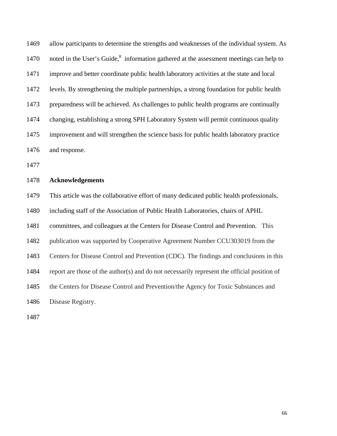1469 allow participants to determine the strengths and weaknesses of the individual system. As 1470 noted in the User's Guide, $8$  information gathered at the assessment meetings can help to 1471 improve and better coordinate public health laboratory activities at the state and local 1472 levels. By strengthening the multiple partnerships, a strong foundation for public health 1473 preparedness will be achieved. As challenges to public health programs are continually 1474 changing, establishing a strong SPH Laboratory System will permit continuous quality 1475 improvement and will strengthen the science basis for public health laboratory practice 1476 and response.

1477

### 1478 **Acknowledgements**

1479 This article was the collaborative effort of many dedicated public health professionals, 1480 including staff of the Association of Public Health Laboratories, chairs of APHL 1481 committees, and colleagues at the Centers for Disease Control and Prevention. This 1482 publication was supported by Cooperative Agreement Number CCU303019 from the 1483 Centers for Disease Control and Prevention (CDC). The findings and conclusions in this 1484 report are those of the author(s) and do not necessarily represent the official position of 1485 the Centers for Disease Control and Prevention/the Agency for Toxic Substances and

1486 Disease Registry.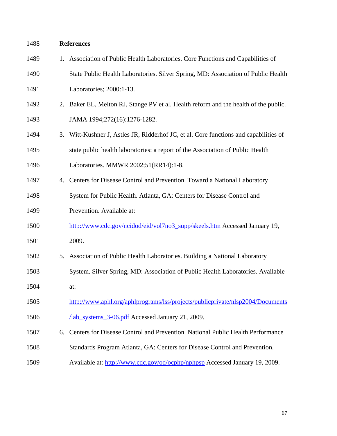| 1488 |    | <b>References</b>                                                                  |
|------|----|------------------------------------------------------------------------------------|
| 1489 | 1. | Association of Public Health Laboratories. Core Functions and Capabilities of      |
| 1490 |    | State Public Health Laboratories. Silver Spring, MD: Association of Public Health  |
| 1491 |    | Laboratories; 2000:1-13.                                                           |
| 1492 | 2. | Baker EL, Melton RJ, Stange PV et al. Health reform and the health of the public.  |
| 1493 |    | JAMA 1994;272(16):1276-1282.                                                       |
| 1494 | 3. | Witt-Kushner J, Astles JR, Ridderhof JC, et al. Core functions and capabilities of |
| 1495 |    | state public health laboratories: a report of the Association of Public Health     |
| 1496 |    | Laboratories. MMWR 2002;51(RR14):1-8.                                              |
| 1497 | 4. | Centers for Disease Control and Prevention. Toward a National Laboratory           |
| 1498 |    | System for Public Health. Atlanta, GA: Centers for Disease Control and             |
| 1499 |    | Prevention. Available at:                                                          |
| 1500 |    | http://www.cdc.gov/ncidod/eid/vol7no3_supp/skeels.htm Accessed January 19,         |
| 1501 |    | 2009.                                                                              |
| 1502 | 5. | Association of Public Health Laboratories. Building a National Laboratory          |
| 1503 |    | System. Silver Spring, MD: Association of Public Health Laboratories. Available    |
| 1504 |    | at:                                                                                |
| 1505 |    | http://www.aphl.org/aphlprograms/lss/projects/publicprivate/nlsp2004/Documents     |
| 1506 |    | <b><u>/lab_systems_3-06.pdf</u></b> Accessed January 21, 2009.                     |
| 1507 | 6. | Centers for Disease Control and Prevention. National Public Health Performance     |
| 1508 |    | Standards Program Atlanta, GA: Centers for Disease Control and Prevention.         |
| 1509 |    | Available at: http://www.cdc.gov/od/ocphp/nphpsp Accessed January 19, 2009.        |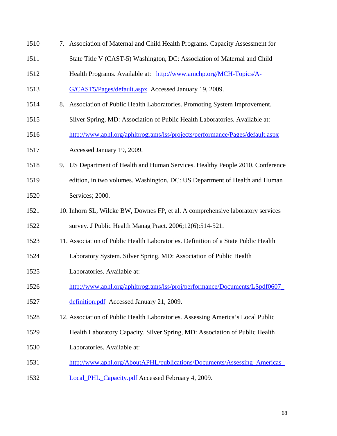- 1510 7. Association of Maternal and Child Health Programs. Capacity Assessment for
- 1511 State Title V (CAST-5) Washington, DC: Association of Maternal and Child
- 1512 Health Programs. Available at: http://www.amchp.org/MCH-Topics/A-
- 1513 G/CAST5/Pages/default.aspx Accessed January 19, 2009.
- 1514 8. Association of Public Health Laboratories. Promoting System Improvement.
- 1515 Silver Spring, MD: Association of Public Health Laboratories. Available at:
- 1516 http://www.aphl.org/aphlprograms/lss/projects/performance/Pages/default.aspx
- 1517 Accessed January 19, 2009.
- 1518 9. US Department of Health and Human Services. Healthy People 2010. Conference
- 1519 edition, in two volumes. Washington, DC: US Department of Health and Human 1520 Services; 2000.
- 1521 10. Inhorn SL, Wilcke BW, Downes FP, et al. A comprehensive laboratory services 1522 survey. J Public Health Manag Pract. 2006;12(6):514-521.
- 1523 11. Association of Public Health Laboratories. Definition of a State Public Health
- 1524 Laboratory System. Silver Spring, MD: Association of Public Health
- 1525 Laboratories. Available at:
- 1526 http://www.aphl.org/aphlprograms/lss/proj/performance/Documents/LSpdf0607\_
- 1527 definition.pdf Accessed January 21, 2009.
- 1528 12. Association of Public Health Laboratories. Assessing America's Local Public
- 1529 Health Laboratory Capacity. Silver Spring, MD: Association of Public Health
- 1530 Laboratories. Available at:
- 1531 http://www.aphl.org/AboutAPHL/publications/Documents/Assessing\_Americas\_
- 1532 Local\_PHL\_Capacity.pdf Accessed February 4, 2009.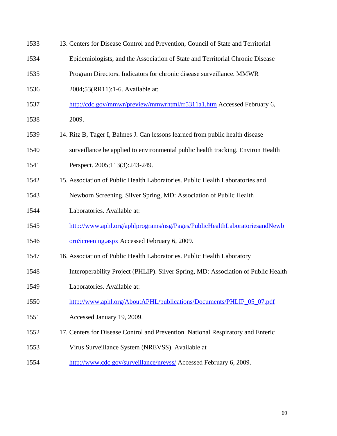- 1533 13. Centers for Disease Control and Prevention, Council of State and Territorial
- 1534 Epidemiologists, and the Association of State and Territorial Chronic Disease
- 1535 Program Directors. Indicators for chronic disease surveillance. MMWR
- 1536 2004;53(RR11):1-6. Available at:
- 1537 http://cdc.gov/mmwr/preview/mmwrhtml/rr5311a1.htm Accessed February 6,
- 1538 2009.
- 1539 14. Ritz B, Tager I, Balmes J. Can lessons learned from public health disease
- 1540 surveillance be applied to environmental public health tracking. Environ Health
- 1541 **Perspect.** 2005;113(3):243-249.
- 1542 15. Association of Public Health Laboratories. Public Health Laboratories and
- 1543 Newborn Screening. Silver Spring, MD: Association of Public Health
- 1544 Laboratories. Available at:
- 1545 http://www.aphl.org/aphlprograms/nsg/Pages/PublicHealthLaboratoriesandNewb
- 1546 **ornScreening.aspx** Accessed February 6, 2009.
- 1547 16. Association of Public Health Laboratories. Public Health Laboratory
- 1548 Interoperability Project (PHLIP). Silver Spring, MD: Association of Public Health
- 1549 Laboratories. Available at:
- 1550 http://www.aphl.org/AboutAPHL/publications/Documents/PHLIP\_05\_07.pdf
- 1551 Accessed January 19, 2009.
- 1552 17. Centers for Disease Control and Prevention. National Respiratory and Enteric
- 1553 Virus Surveillance System (NREVSS). Available at
- 1554 http://www.cdc.gov/surveillance/nrevss/ Accessed February 6, 2009.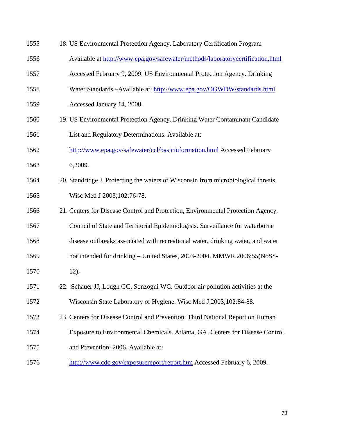| 1555 | 18. US Environmental Protection Agency. Laboratory Certification Program           |
|------|------------------------------------------------------------------------------------|
| 1556 | Available at http://www.epa.gov/safewater/methods/laboratorycertification.html     |
| 1557 | Accessed February 9, 2009. US Environmental Protection Agency. Drinking            |
| 1558 | Water Standards -Available at: http://www.epa.gov/OGWDW/standards.html             |
| 1559 | Accessed January 14, 2008.                                                         |
| 1560 | 19. US Environmental Protection Agency. Drinking Water Contaminant Candidate       |
| 1561 | List and Regulatory Determinations. Available at:                                  |
| 1562 | http://www.epa.gov/safewater/ccl/basicinformation.html Accessed February           |
| 1563 | 6,2009.                                                                            |
| 1564 | 20. Standridge J. Protecting the waters of Wisconsin from microbiological threats. |
| 1565 | Wisc Med J 2003;102:76-78.                                                         |
| 1566 | 21. Centers for Disease Control and Protection, Environmental Protection Agency,   |
| 1567 | Council of State and Territorial Epidemiologists. Surveillance for waterborne      |
| 1568 | disease outbreaks associated with recreational water, drinking water, and water    |
| 1569 | not intended for drinking - United States, 2003-2004. MMWR 2006;55(NoSS-           |
| 1570 | 12).                                                                               |
| 1571 | 22. Schauer JJ, Lough GC, Sonzogni WC. Outdoor air pollution activities at the     |
| 1572 | Wisconsin State Laboratory of Hygiene. Wisc Med J 2003;102:84-88.                  |
| 1573 | 23. Centers for Disease Control and Prevention. Third National Report on Human     |
| 1574 | Exposure to Environmental Chemicals. Atlanta, GA. Centers for Disease Control      |
| 1575 | and Prevention: 2006. Available at:                                                |
| 1576 | http://www.cdc.gov/exposurereport/report.htm Accessed February 6, 2009.            |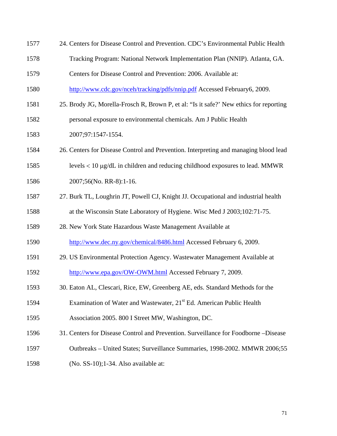| 1577 | 24. Centers for Disease Control and Prevention. CDC's Environmental Public Health      |
|------|----------------------------------------------------------------------------------------|
| 1578 | Tracking Program: National Network Implementation Plan (NNIP). Atlanta, GA.            |
| 1579 | Centers for Disease Control and Prevention: 2006. Available at:                        |
| 1580 | http://www.cdc.gov/nceh/tracking/pdfs/nnip.pdf Accessed February6, 2009.               |
| 1581 | 25. Brody JG, Morella-Frosch R, Brown P, et al: "Is it safe?' New ethics for reporting |
| 1582 | personal exposure to environmental chemicals. Am J Public Health                       |
| 1583 | 2007;97:1547-1554.                                                                     |
| 1584 | 26. Centers for Disease Control and Prevention. Interpreting and managing blood lead   |
| 1585 | levels $<$ 10 $\mu$ g/dL in children and reducing childhood exposures to lead. MMWR    |
| 1586 | 2007;56(No. RR-8):1-16.                                                                |
| 1587 | 27. Burk TL, Loughrin JT, Powell CJ, Knight JJ. Occupational and industrial health     |
| 1588 | at the Wisconsin State Laboratory of Hygiene. Wisc Med J 2003;102:71-75.               |
| 1589 | 28. New York State Hazardous Waste Management Available at                             |
| 1590 | http://www.dec.ny.gov/chemical/8486.html Accessed February 6, 2009.                    |
| 1591 | 29. US Environmental Protection Agency. Wastewater Management Available at             |
| 1592 | http://www.epa.gov/OW-OWM.html Accessed February 7, 2009.                              |
| 1593 | 30. Eaton AL, Clescari, Rice, EW, Greenberg AE, eds. Standard Methods for the          |
| 1594 | Examination of Water and Wastewater, 21 <sup>st</sup> Ed. American Public Health       |
| 1595 | Association 2005. 800 I Street MW, Washington, DC.                                     |
| 1596 | 31. Centers for Disease Control and Prevention. Surveillance for Foodborne – Disease   |
| 1597 | Outbreaks - United States; Surveillance Summaries, 1998-2002. MMWR 2006;55             |
| 1598 | $(No. SS-10); 1-34. Also available at:$                                                |
|      |                                                                                        |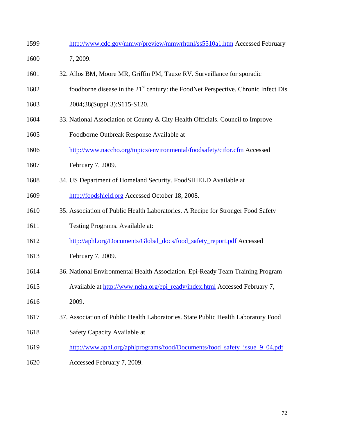| 1599 | http://www.cdc.gov/mmwr/preview/mmwrhtml/ss5510a1.htm Accessed February                        |
|------|------------------------------------------------------------------------------------------------|
| 1600 | 7, 2009.                                                                                       |
| 1601 | 32. Allos BM, Moore MR, Griffin PM, Tauxe RV. Surveillance for sporadic                        |
| 1602 | foodborne disease in the 21 <sup>st</sup> century: the FoodNet Perspective. Chronic Infect Dis |
| 1603 | 2004;38(Suppl 3):S115-S120.                                                                    |
| 1604 | 33. National Association of County & City Health Officials. Council to Improve                 |
| 1605 | Foodborne Outbreak Response Available at                                                       |
| 1606 | http://www.naccho.org/topics/environmental/foodsafety/cifor.cfm Accessed                       |
| 1607 | February 7, 2009.                                                                              |
| 1608 | 34. US Department of Homeland Security. FoodSHIELD Available at                                |
| 1609 | http://foodshield.org Accessed October 18, 2008.                                               |
| 1610 | 35. Association of Public Health Laboratories. A Recipe for Stronger Food Safety               |
| 1611 | Testing Programs. Available at:                                                                |
| 1612 | http://aphl.org/Documents/Global_docs/food_safety_report.pdf Accessed                          |
| 1613 | February 7, 2009.                                                                              |
| 1614 | 36. National Environmental Health Association. Epi-Ready Team Training Program                 |
| 1615 | Available at http://www.neha.org/epi_ready/index.html Accessed February 7,                     |
| 1616 | 2009.                                                                                          |
| 1617 | 37. Association of Public Health Laboratories. State Public Health Laboratory Food             |
| 1618 | Safety Capacity Available at                                                                   |
| 1619 | http://www.aphl.org/aphlprograms/food/Documents/food_safety_issue_9_04.pdf                     |
| 1620 | Accessed February 7, 2009.                                                                     |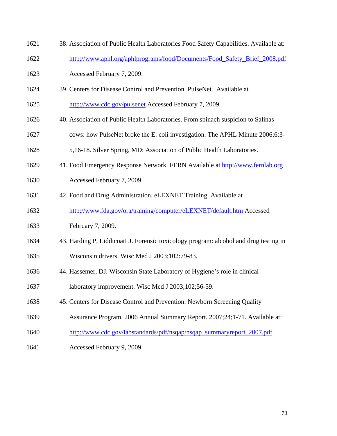- 1621 38. Association of Public Health Laboratories Food Safety Capabilities. Available at:
- 1622 http://www.aphl.org/aphlprograms/food/Documents/Food\_Safety\_Brief\_2008.pdf
- 1623 Accessed February 7, 2009.
- 1624 39. Centers for Disease Control and Prevention. PulseNet. Available at
- 1625 http://www.cdc.gov/pulsenet Accessed February 7, 2009.
- 1626 40. Association of Public Health Laboratories. From spinach suspicion to Salinas
- 1627 cows: how PulseNet broke the E. coli investigation. The APHL Minute 2006;6:3-
- 1628 5,16-18. Silver Spring, MD: Association of Public Health Laboratories.
- 1629 41. Food Emergency Response Network FERN Available at http://www.fernlab.org
- 1630 Accessed February 7, 2009.
- 1631 42. Food and Drug Administration. eLEXNET Training. Available at
- 1632 http://www.fda.gov/ora/training/computer/eLEXNET/default.htm Accessed
- 1633 February 7, 2009.
- 1634 43. Harding P, LiddicoatLJ. Forensic toxicology program: alcohol and drug testing in 1635 Wisconsin drivers. Wisc Med J 2003;102:79-83.
- 1636 44. Hassemer, DJ. Wisconsin State Laboratory of Hygiene's role in clinical

1637 laboratory improvement. Wisc Med J 2003;102;56-59.

- 1638 45. Centers for Disease Control and Prevention. Newborn Screening Quality
- 1639 Assurance Program. 2006 Annual Summary Report. 2007;24;1-71. Available at:
- 1640 http://www.cdc.gov/labstandards/pdf/nsqap/nsqap\_summaryreport\_2007.pdf
- 1641 Accessed February 9, 2009.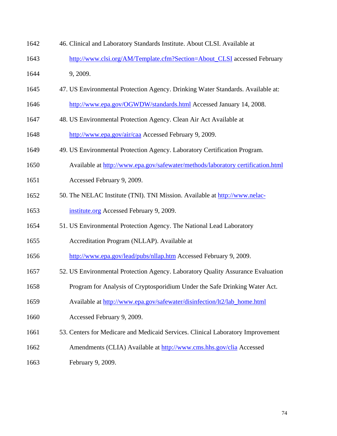- 1642 46. Clinical and Laboratory Standards Institute. About CLSI. Available at 1643 http://www.clsi.org/AM/Template.cfm?Section=About\_CLSI accessed February 1644 9, 2009. 1645 47. US Environmental Protection Agency. Drinking Water Standards. Available at: 1646 http://www.epa.gov/OGWDW/standards.html Accessed January 14, 2008. 1647 48. US Environmental Protection Agency. Clean Air Act Available at 1648 http://www.epa.gov/air/caa Accessed February 9, 2009. 1649 49. US Environmental Protection Agency. Laboratory Certification Program.
	- 1650 Available at http://www.epa.gov/safewater/methods/laboratory certification.html
	- 1651 Accessed February 9, 2009.
	- 1652 50. The NELAC Institute (TNI). TNI Mission. Available at http://www.nelac-1653 institute.org Accessed February 9, 2009.
	- 1654 51. US Environmental Protection Agency. The National Lead Laboratory
	- 1655 Accreditation Program (NLLAP). Available at
	- 1656 http://www.epa.gov/lead/pubs/nllap.htm Accessed February 9, 2009.
	- 1657 52. US Environmental Protection Agency. Laboratory Quality Assurance Evaluation
	- 1658 Program for Analysis of Cryptosporidium Under the Safe Drinking Water Act.
	- 1659 Available at http://www.epa.gov/safewater/disinfection/lt2/lab\_home.html
	- 1660 Accessed February 9, 2009.
	- 1661 53. Centers for Medicare and Medicaid Services. Clinical Laboratory Improvement
	- 1662 Amendments (CLIA) Available at http://www.cms.hhs.gov/clia Accessed
	- 1663 February 9, 2009.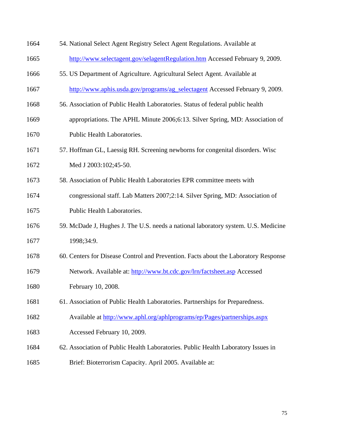| 1664 | 54. National Select Agent Registry Select Agent Regulations. Available at           |
|------|-------------------------------------------------------------------------------------|
| 1665 | http://www.selectagent.gov/selagentRegulation.htm Accessed February 9, 2009.        |
| 1666 | 55. US Department of Agriculture. Agricultural Select Agent. Available at           |
| 1667 | http://www.aphis.usda.gov/programs/ag_selectagent Accessed February 9, 2009.        |
| 1668 | 56. Association of Public Health Laboratories. Status of federal public health      |
| 1669 | appropriations. The APHL Minute 2006;6:13. Silver Spring, MD: Association of        |
| 1670 | Public Health Laboratories.                                                         |
| 1671 | 57. Hoffman GL, Laessig RH. Screening newborns for congenital disorders. Wisc       |
| 1672 | Med J 2003:102;45-50.                                                               |
| 1673 | 58. Association of Public Health Laboratories EPR committee meets with              |
| 1674 | congressional staff. Lab Matters 2007;2:14. Silver Spring, MD: Association of       |
| 1675 | Public Health Laboratories.                                                         |
| 1676 | 59. McDade J, Hughes J. The U.S. needs a national laboratory system. U.S. Medicine  |
| 1677 | 1998;34:9.                                                                          |
| 1678 | 60. Centers for Disease Control and Prevention. Facts about the Laboratory Response |
| 1679 | Network. Available at: http://www.bt.cdc.gov/lrn/factsheet.asp Accessed             |
| 1680 | February 10, 2008.                                                                  |
| 1681 | 61. Association of Public Health Laboratories. Partnerships for Preparedness.       |
| 1682 | Available at http://www.aphl.org/aphlprograms/ep/Pages/partnerships.aspx            |
| 1683 | Accessed February 10, 2009.                                                         |
| 1684 | 62. Association of Public Health Laboratories. Public Health Laboratory Issues in   |
| 1685 | Brief: Bioterrorism Capacity. April 2005. Available at:                             |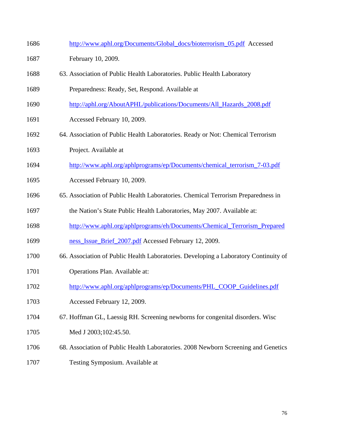| 1686 | http://www.aphl.org/Documents/Global_docs/bioterrorism_05.pdf Accessed               |
|------|--------------------------------------------------------------------------------------|
| 1687 | February 10, 2009.                                                                   |
| 1688 | 63. Association of Public Health Laboratories. Public Health Laboratory              |
| 1689 | Preparedness: Ready, Set, Respond. Available at                                      |
| 1690 | http://aphl.org/AboutAPHL/publications/Documents/All_Hazards_2008.pdf                |
| 1691 | Accessed February 10, 2009.                                                          |
| 1692 | 64. Association of Public Health Laboratories. Ready or Not: Chemical Terrorism      |
| 1693 | Project. Available at                                                                |
| 1694 | http://www.aphl.org/aphlprograms/ep/Documents/chemical_terrorism_7-03.pdf            |
| 1695 | Accessed February 10, 2009.                                                          |
| 1696 | 65. Association of Public Health Laboratories. Chemical Terrorism Preparedness in    |
| 1697 | the Nation's State Public Health Laboratories, May 2007. Available at:               |
| 1698 | http://www.aphl.org/aphlprograms/eh/Documents/Chemical_Terrorism_Prepared            |
| 1699 | ness_Issue_Brief_2007.pdf Accessed February 12, 2009.                                |
| 1700 | 66. Association of Public Health Laboratories. Developing a Laboratory Continuity of |
| 1701 | Operations Plan. Available at:                                                       |
| 1702 | http://www.aphl.org/aphlprograms/ep/Documents/PHL_COOP_Guidelines.pdf                |
| 1703 | Accessed February 12, 2009.                                                          |
| 1704 | 67. Hoffman GL, Laessig RH. Screening newborns for congenital disorders. Wisc        |
| 1705 | Med J 2003;102:45.50.                                                                |
| 1706 | 68. Association of Public Health Laboratories. 2008 Newborn Screening and Genetics   |
| 1707 | Testing Symposium. Available at                                                      |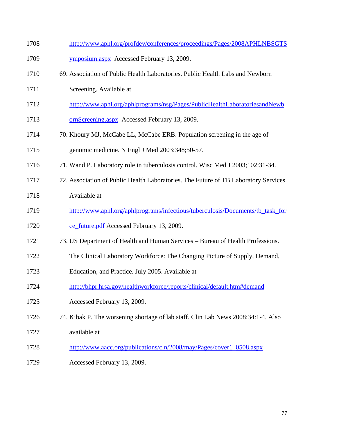| 1708 | http://www.aphl.org/profdev/conferences/proceedings/Pages/2008APHLNBSGTS             |
|------|--------------------------------------------------------------------------------------|
| 1709 | ymposium.aspx Accessed February 13, 2009.                                            |
| 1710 | 69. Association of Public Health Laboratories. Public Health Labs and Newborn        |
| 1711 | Screening. Available at                                                              |
| 1712 | http://www.aphl.org/aphlprograms/nsg/Pages/PublicHealthLaboratoriesandNewb           |
| 1713 | ornScreening.aspx Accessed February 13, 2009.                                        |
| 1714 | 70. Khoury MJ, McCabe LL, McCabe ERB. Population screening in the age of             |
| 1715 | genomic medicine. N Engl J Med 2003:348;50-57.                                       |
| 1716 | 71. Wand P. Laboratory role in tuberculosis control. Wisc Med J 2003;102:31-34.      |
| 1717 | 72. Association of Public Health Laboratories. The Future of TB Laboratory Services. |
| 1718 | Available at                                                                         |
| 1719 | http://www.aphl.org/aphlprograms/infectious/tuberculosis/Documents/tb_task_for       |
| 1720 | ce future.pdf Accessed February 13, 2009.                                            |
| 1721 | 73. US Department of Health and Human Services - Bureau of Health Professions.       |
| 1722 | The Clinical Laboratory Workforce: The Changing Picture of Supply, Demand,           |
| 1723 | Education, and Practice. July 2005. Available at                                     |
| 1724 | http://bhpr.hrsa.gov/healthworkforce/reports/clinical/default.htm#demand             |
| 1725 | Accessed February 13, 2009.                                                          |
| 1726 | 74. Kibak P. The worsening shortage of lab staff. Clin Lab News 2008;34:1-4. Also    |
| 1727 | available at                                                                         |
| 1728 | http://www.aacc.org/publications/cln/2008/may/Pages/cover1_0508.aspx                 |
| 1729 | Accessed February 13, 2009.                                                          |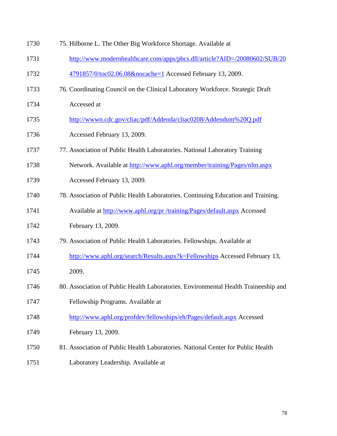| 1730 | 75. Hilborne L. The Other Big Workforce Shortage. Available at                      |
|------|-------------------------------------------------------------------------------------|
| 1731 | http://www.modernhealthcare.com/apps/pbcs.dll/article?AID=/20080602/SUB/20          |
| 1732 | 4791857/0/toc02.06.08&nocache=1 Accessed February 13, 2009.                         |
| 1733 | 76. Coordinating Council on the Clinical Laboratory Workforce. Strategic Draft      |
| 1734 | Accessed at                                                                         |
| 1735 | http://wwwn.cdc.gov/cliac/pdf/Addenda/cliac0208/Addendum%20Q.pdf                    |
| 1736 | Accessed February 13, 2009.                                                         |
| 1737 | 77. Association of Public Health Laboratories. National Laboratory Training         |
| 1738 | Network. Available at http://www.aphl.org/member/training/Pages/nltn.aspx           |
| 1739 | Accessed February 13, 2009.                                                         |
| 1740 | 78. Association of Public Health Laboratories. Continuing Education and Training.   |
| 1741 | Available at http://www.aphl.org/pr /training/Pages/default.aspx Accessed           |
| 1742 | February 13, 2009.                                                                  |
| 1743 | 79. Association of Public Health Laboratories. Fellowships. Available at            |
| 1744 | http://www.aphl.org/search/Results.aspx?k=Fellowships Accessed February 13,         |
| 1745 | 2009.                                                                               |
| 1746 | 80. Association of Public Health Laboratories. Environmental Health Traineeship and |
| 1747 | Fellowship Programs. Available at                                                   |
| 1748 | http://www.aphl.org/profdev/fellowships/eh/Pages/default.aspx Accessed              |
| 1749 | February 13, 2009.                                                                  |
| 1750 | 81. Association of Public Health Laboratories. National Center for Public Health    |
| 1751 | Laboratory Leadership. Available at                                                 |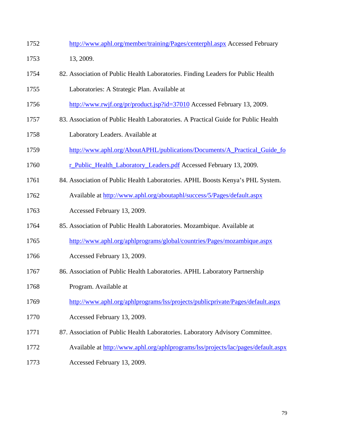- 1752 http://www.aphl.org/member/training/Pages/centerphl.aspx Accessed February 1753 13, 2009.
- 1754 82. Association of Public Health Laboratories. Finding Leaders for Public Health
- 1755 Laboratories: A Strategic Plan. Available at
- 1756 http://www.rwjf.org/pr/product.jsp?id=37010 Accessed February 13, 2009.
- 1757 83. Association of Public Health Laboratories. A Practical Guide for Public Health
- 1758 Laboratory Leaders. Available at
- 1759 http://www.aphl.org/AboutAPHL/publications/Documents/A\_Practical\_Guide\_fo
- 1760 r\_Public\_Health\_Laboratory\_Leaders.pdf Accessed February 13, 2009.
- 1761 84. Association of Public Health Laboratories. APHL Boosts Kenya's PHL System.
- 1762 Available at http://www.aphl.org/aboutaphl/success/5/Pages/default.aspx
- 1763 Accessed February 13, 2009.
- 1764 85. Association of Public Health Laboratories. Mozambique. Available at
- 1765 http://www.aphl.org/aphlprograms/global/countries/Pages/mozambique.aspx
- 1766 Accessed February 13, 2009.
- 1767 86. Association of Public Health Laboratories. APHL Laboratory Partnership
- 1768 Program. Available at
- 1769 http://www.aphl.org/aphlprograms/lss/projects/publicprivate/Pages/default.aspx
- 1770 Accessed February 13, 2009.
- 1771 87. Association of Public Health Laboratories. Laboratory Advisory Committee.
- 1772 Available at http://www.aphl.org/aphlprograms/lss/projects/lac/pages/default.aspx
- 1773 Accessed February 13, 2009.